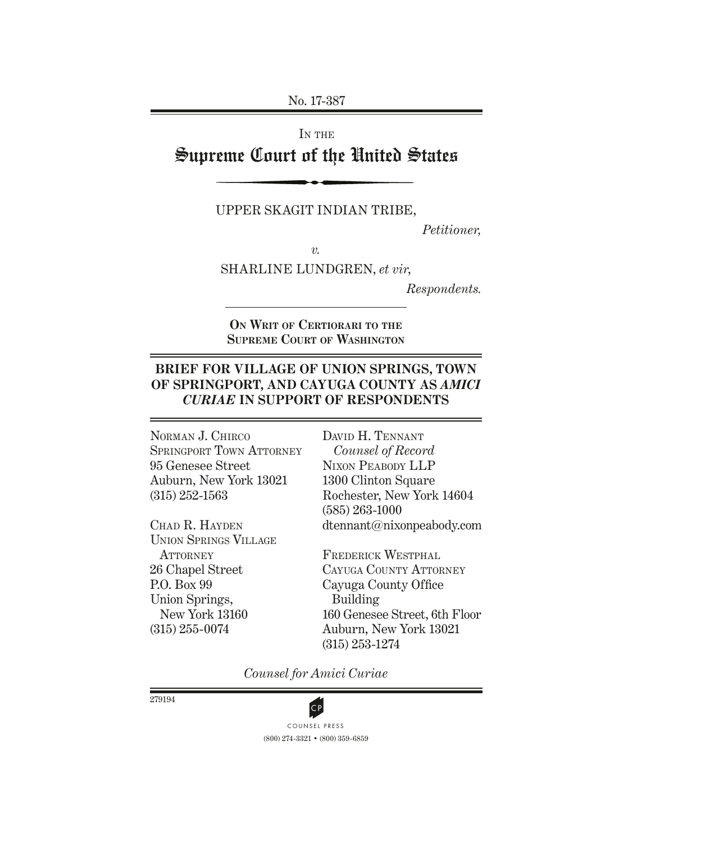No. 17-387

IN THE Supreme Court of the United States

Upper Skagit Indian Tribe,

*Petitioner,*

*v.*

Sharline Lundgren, *et vir*,

*Respondents.*

**On Writ of Certiorari to the Supreme Court of Washington**

### **Brief for VILLAGE OF Union Springs , TOWN OF Springport, and Cayuga County as** *Amici Curiae* **in Support of Respondents**

Norman J. Chirco SPRINGPORT TOWN ATTORNEY 95 Genesee Street Auburn, New York 13021 (315) 252-1563

Chad R. Hayden Union Springs Village **ATTORNEY** 26 Chapel Street P.O. Box 99 Union Springs, New York 13160 (315) 255-0074

David H. Tennant *Counsel of Record* Nixon Peabody LLP 1300 Clinton Square Rochester, New York 14604 (585) 263-1000 dtennant@nixonpeabody.com

Frederick Westphal CAYUGA COUNTY ATTORNEY Cayuga County Office Building 160 Genesee Street, 6th Floor Auburn, New York 13021 (315) 253-1274

*Counsel for Amici Curiae*

279194



(800) 274-3321 • (800) 359-6859 **CP**<br>COUNSEL PRESS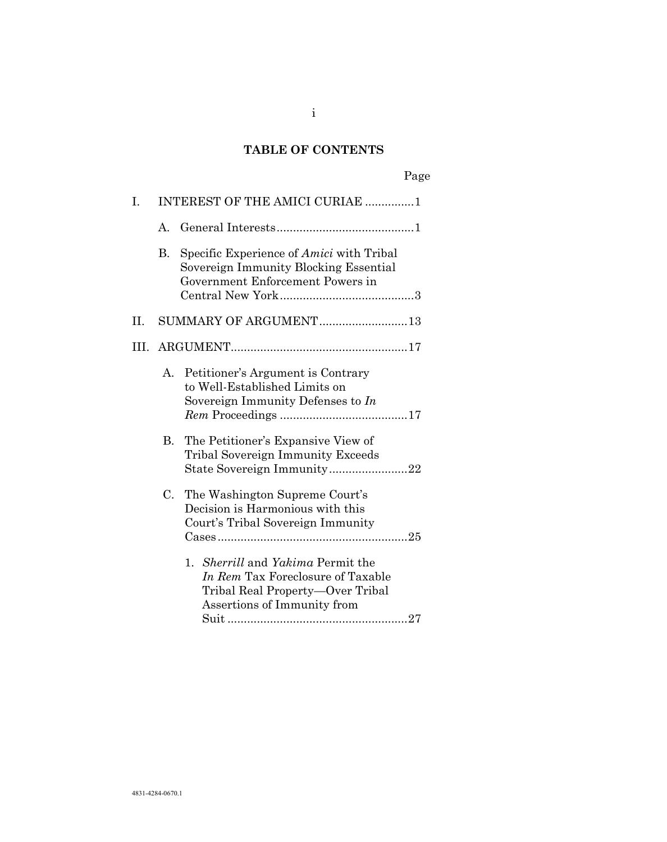# **TABLE OF CONTENTS**

|--|

| I. |           | INTEREST OF THE AMICI CURIAE 1                                                                                                            |
|----|-----------|-------------------------------------------------------------------------------------------------------------------------------------------|
|    | A.        |                                                                                                                                           |
|    | <b>B.</b> | Specific Experience of <i>Amici</i> with Tribal<br>Sovereign Immunity Blocking Essential<br>Government Enforcement Powers in              |
| Π. |           | SUMMARY OF ARGUMENT13                                                                                                                     |
|    |           |                                                                                                                                           |
|    | A.        | Petitioner's Argument is Contrary<br>to Well-Established Limits on<br>Sovereign Immunity Defenses to In                                   |
|    | В.        | The Petitioner's Expansive View of<br><b>Tribal Sovereign Immunity Exceeds</b>                                                            |
|    | C.        | The Washington Supreme Court's<br>Decision is Harmonious with this<br>Court's Tribal Sovereign Immunity                                   |
|    |           | 1. Sherrill and Yakima Permit the<br>In Rem Tax Foreclosure of Taxable<br>Tribal Real Property-Over Tribal<br>Assertions of Immunity from |

i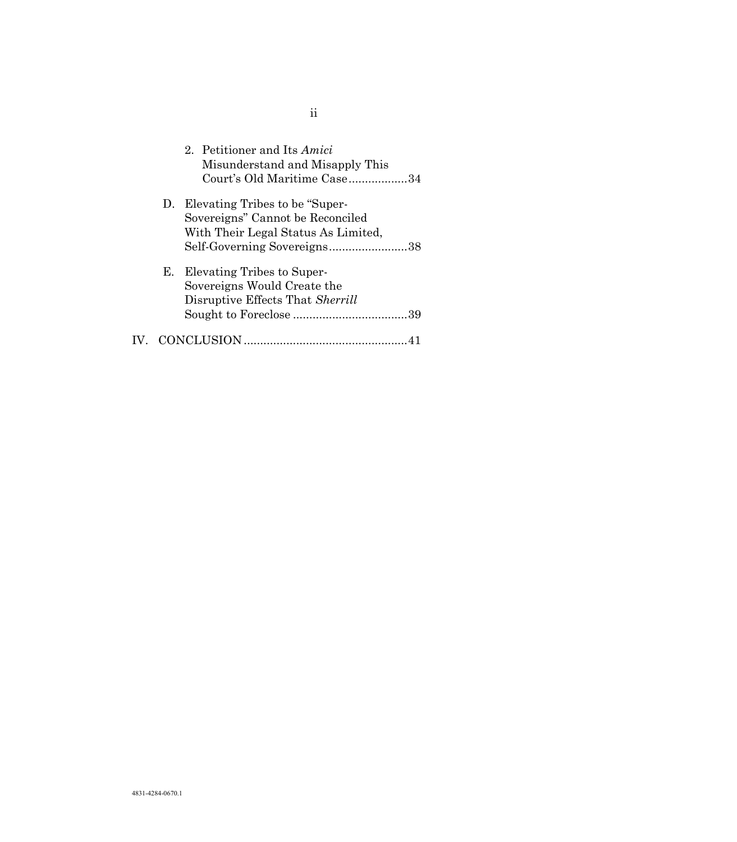|    | 2. Petitioner and Its Amici<br>Misunderstand and Misapply This<br>Court's Old Maritime Case34 |
|----|-----------------------------------------------------------------------------------------------|
| D. | Elevating Tribes to be "Super-                                                                |
|    | Sovereigns" Cannot be Reconciled                                                              |
|    | With Their Legal Status As Limited,                                                           |
|    | Self-Governing Sovereigns38                                                                   |
| Е. | Elevating Tribes to Super-                                                                    |
|    | Sovereigns Would Create the                                                                   |
|    | Disruptive Effects That Sherrill                                                              |
|    |                                                                                               |
|    | CONCLUSION                                                                                    |

ii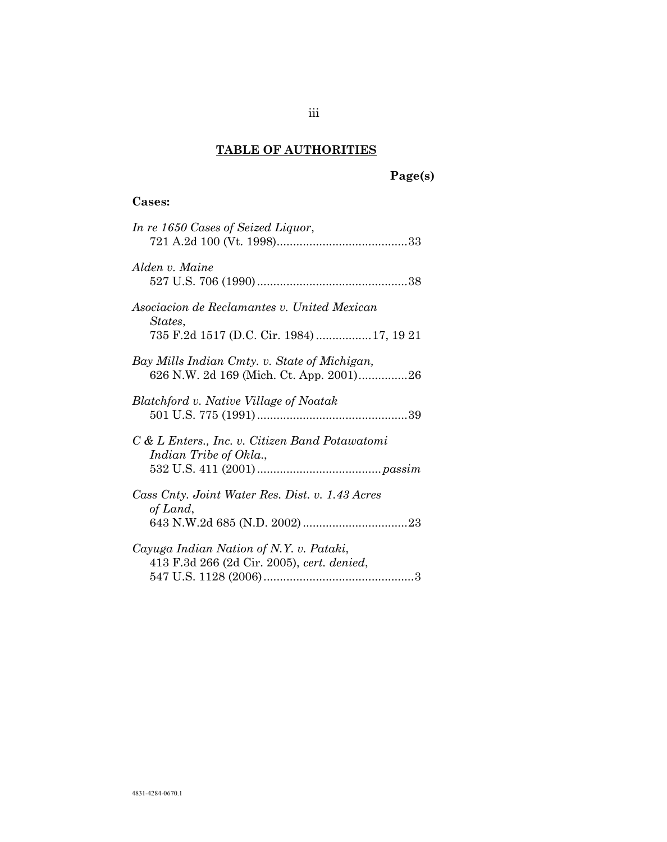# **TABLE OF AUTHORITIES**

# **Page(s)**

# **Cases:**

| In re 1650 Cases of Seized Liquor,                                                                  |
|-----------------------------------------------------------------------------------------------------|
| Alden v. Maine                                                                                      |
| Asociacion de Reclamantes v. United Mexican<br>States,<br>735 F.2d 1517 (D.C. Cir. 1984)  17, 19 21 |
| Bay Mills Indian Cmty. v. State of Michigan,                                                        |
| Blatchford v. Native Village of Noatak                                                              |
| C & L Enters., Inc. v. Citizen Band Potawatomi<br>Indian Tribe of Okla.,                            |
| Cass Cnty. Joint Water Res. Dist. v. 1.43 Acres<br>of Land,                                         |
| Cayuga Indian Nation of N.Y. v. Pataki,<br>413 F.3d 266 (2d Cir. 2005), cert. denied,               |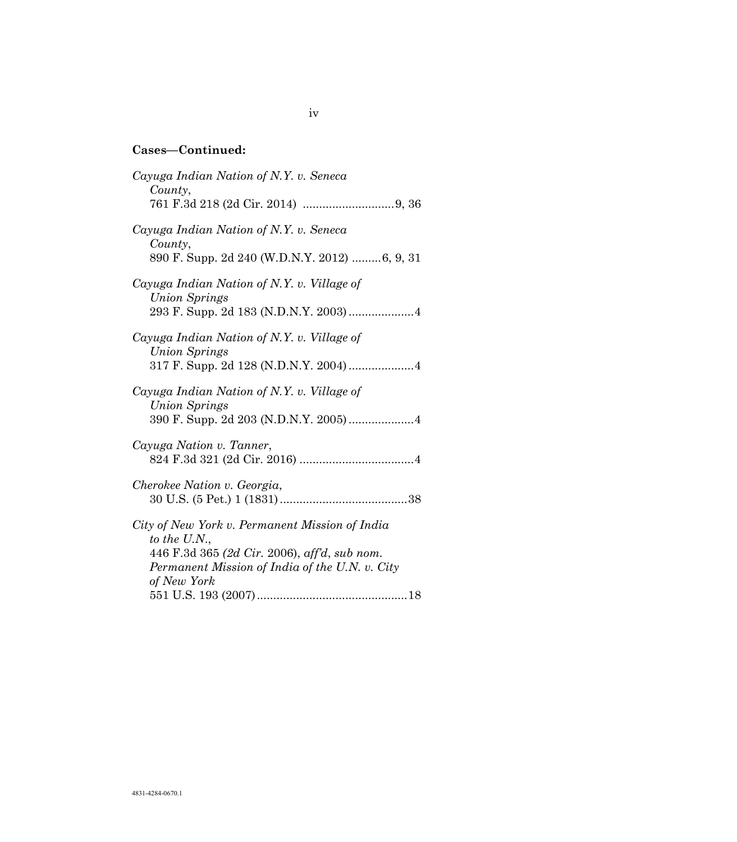| Cayuga Indian Nation of N.Y. v. Seneca<br>County,                                                                                                                               |
|---------------------------------------------------------------------------------------------------------------------------------------------------------------------------------|
| Cayuga Indian Nation of N.Y. v. Seneca<br>County,<br>890 F. Supp. 2d 240 (W.D.N.Y. 2012) 6, 9, 31                                                                               |
| Cayuga Indian Nation of N.Y. v. Village of<br><b>Union Springs</b><br>293 F. Supp. 2d 183 (N.D.N.Y. 2003)  4                                                                    |
| Cayuga Indian Nation of N.Y. v. Village of<br><b>Union Springs</b><br>317 F. Supp. 2d 128 (N.D.N.Y. 2004) 4                                                                     |
| Cayuga Indian Nation of N.Y. v. Village of<br><b>Union Springs</b><br>390 F. Supp. 2d 203 (N.D.N.Y. 2005)4                                                                      |
| Cayuga Nation v. Tanner,                                                                                                                                                        |
| Cherokee Nation v. Georgia,                                                                                                                                                     |
| City of New York v. Permanent Mission of India<br>to the U.N.,<br>446 F.3d 365 (2d Cir. 2006), aff'd, sub nom.<br>Permanent Mission of India of the U.N. v. City<br>of New York |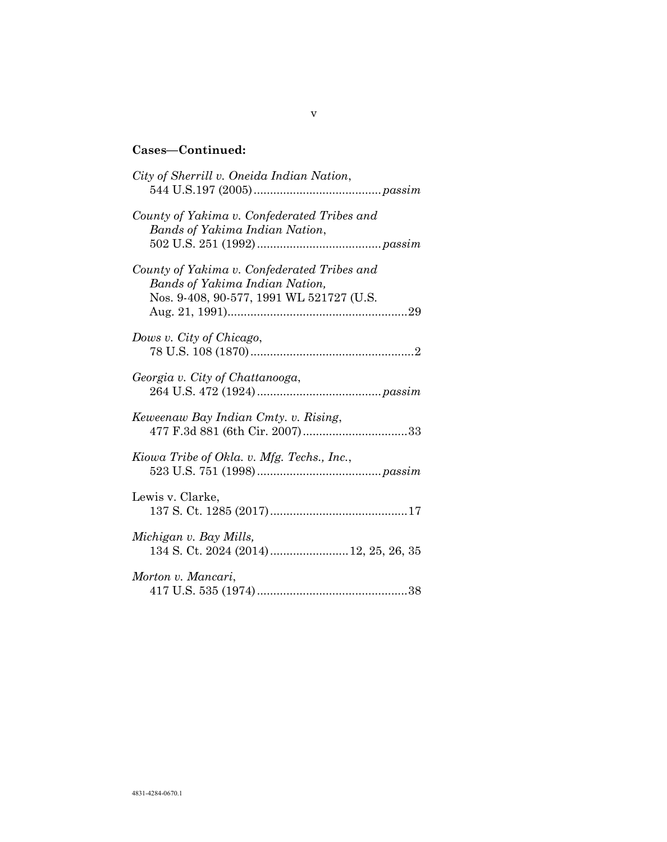| City of Sherrill v. Oneida Indian Nation,                                                                                        |
|----------------------------------------------------------------------------------------------------------------------------------|
| County of Yakima v. Confederated Tribes and<br><b>Bands of Yakima Indian Nation,</b>                                             |
| County of Yakima v. Confederated Tribes and<br><b>Bands of Yakima Indian Nation,</b><br>Nos. 9-408, 90-577, 1991 WL 521727 (U.S. |
| Dows v. City of Chicago,                                                                                                         |
| Georgia v. City of Chattanooga,                                                                                                  |
| Keweenaw Bay Indian Cmty. v. Rising,                                                                                             |
| Kiowa Tribe of Okla. v. Mfg. Techs., Inc.,                                                                                       |
| Lewis v. Clarke,                                                                                                                 |
| Michigan v. Bay Mills,<br>134 S. Ct. 2024 (2014)  12, 25, 26, 35                                                                 |
| Morton v. Mancari,                                                                                                               |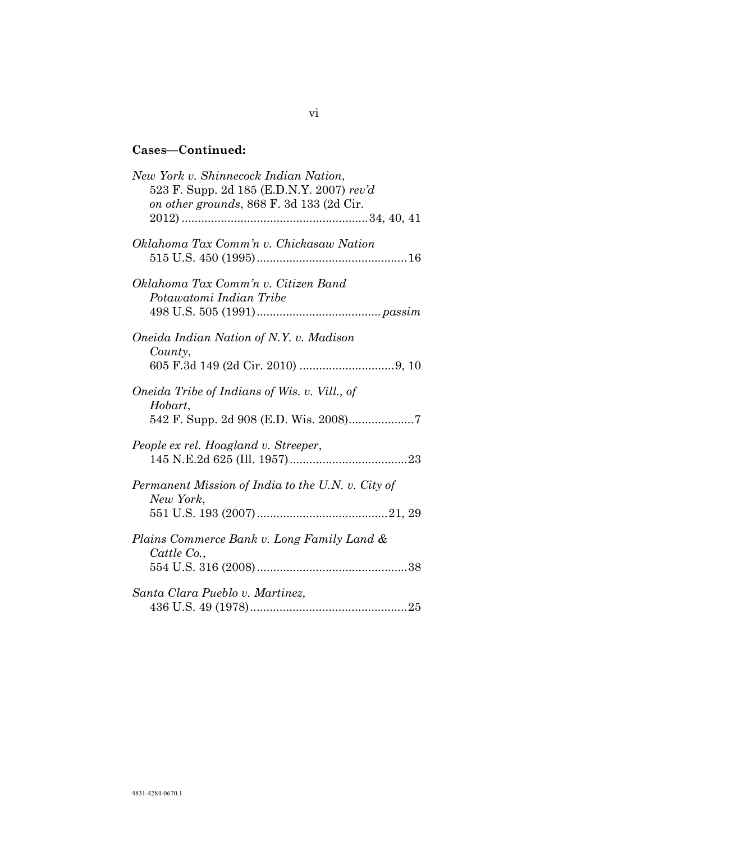| New York v. Shinnecock Indian Nation,<br>523 F. Supp. 2d 185 (E.D.N.Y. 2007) rev'd<br>on other grounds, 868 F. 3d 133 (2d Cir. |  |
|--------------------------------------------------------------------------------------------------------------------------------|--|
| Oklahoma Tax Comm'n v. Chickasaw Nation                                                                                        |  |
| Oklahoma Tax Comm'n v. Citizen Band<br>Potawatomi Indian Tribe                                                                 |  |
| Oneida Indian Nation of N.Y. v. Madison<br>County,                                                                             |  |
| Oneida Tribe of Indians of Wis. v. Vill., of<br>Hobart,                                                                        |  |
| People ex rel. Hoagland v. Streeper,                                                                                           |  |
| Permanent Mission of India to the U.N. v. City of<br>New York,                                                                 |  |
| Plains Commerce Bank v. Long Family Land &<br>Cattle Co.,                                                                      |  |
| Santa Clara Pueblo v. Martinez,                                                                                                |  |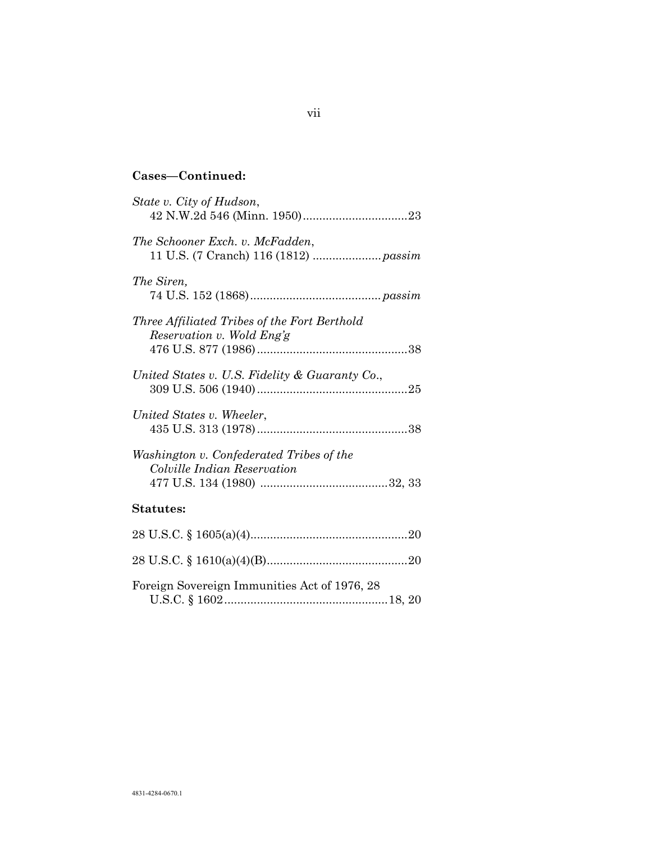| State v. City of Hudson,                                                  |
|---------------------------------------------------------------------------|
| The Schooner Exch. v. McFadden,                                           |
| The Siren,                                                                |
| Three Affiliated Tribes of the Fort Berthold<br>Reservation v. Wold Eng'g |
| United States v. U.S. Fidelity & Guaranty Co.,                            |
| United States v. Wheeler,                                                 |
| Washington v. Confederated Tribes of the<br>Colville Indian Reservation   |
| <b>Statutes:</b>                                                          |
|                                                                           |
|                                                                           |
| Foreign Sovereign Immunities Act of 1976, 28                              |

U.S.C. § 1602..................................................18, 20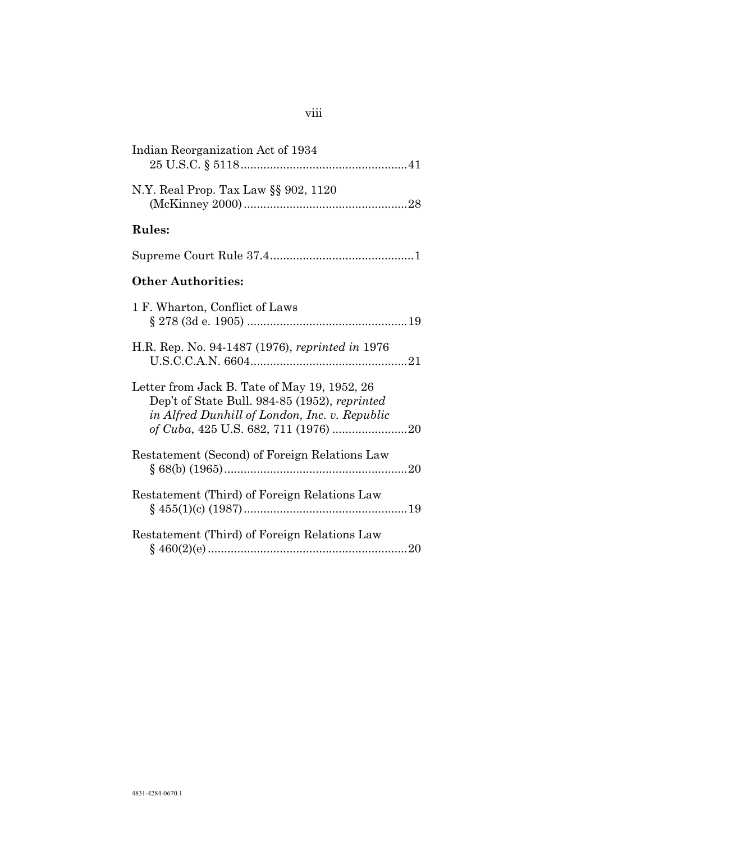| Indian Reorganization Act of 1934                                                                                                              |
|------------------------------------------------------------------------------------------------------------------------------------------------|
| N.Y. Real Prop. Tax Law §§ 902, 1120                                                                                                           |
| <b>Rules:</b>                                                                                                                                  |
|                                                                                                                                                |
| <b>Other Authorities:</b>                                                                                                                      |
| 1 F. Wharton, Conflict of Laws                                                                                                                 |
| H.R. Rep. No. 94-1487 (1976), reprinted in 1976                                                                                                |
| Letter from Jack B. Tate of May 19, 1952, 26<br>Dep't of State Bull. 984-85 (1952), reprinted<br>in Alfred Dunhill of London, Inc. v. Republic |
| Restatement (Second) of Foreign Relations Law                                                                                                  |
| Restatement (Third) of Foreign Relations Law                                                                                                   |
| Restatement (Third) of Foreign Relations Law                                                                                                   |

# viii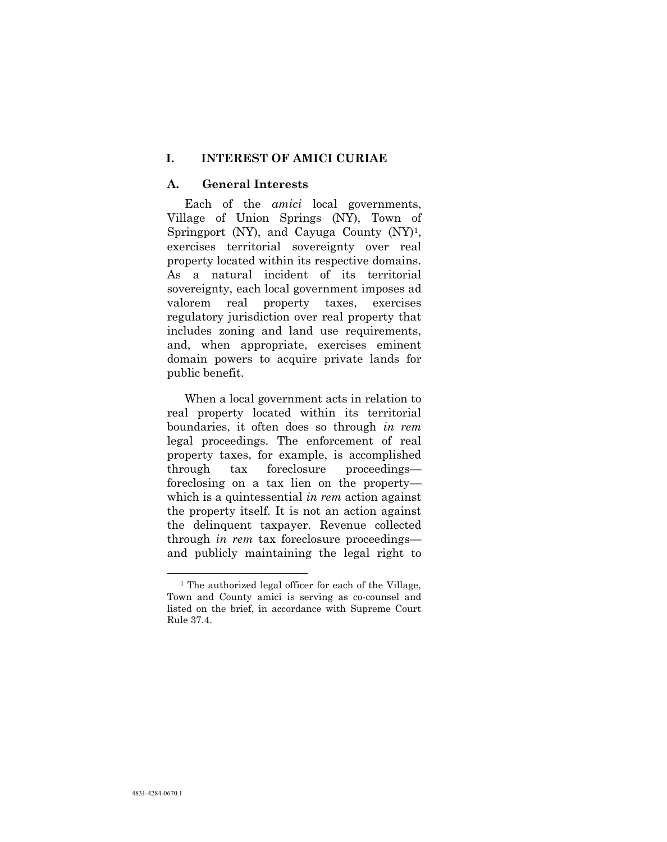#### **I. INTEREST OF AMICI CURIAE**

#### **A. General Interests**

Each of the *amici* local governments, Village of Union Springs (NY), Town of Springport (NY), and Cayuga County  $(NY)^1$ , exercises territorial sovereignty over real property located within its respective domains. As a natural incident of its territorial sovereignty, each local government imposes ad valorem real property taxes, exercises regulatory jurisdiction over real property that includes zoning and land use requirements, and, when appropriate, exercises eminent domain powers to acquire private lands for public benefit.

When a local government acts in relation to real property located within its territorial boundaries, it often does so through *in rem* legal proceedings. The enforcement of real property taxes, for example, is accomplished through tax foreclosure proceedings foreclosing on a tax lien on the property which is a quintessential *in rem* action against the property itself. It is not an action against the delinquent taxpayer. Revenue collected through *in rem* tax foreclosure proceedings and publicly maintaining the legal right to

l

<sup>&</sup>lt;sup>1</sup> The authorized legal officer for each of the Village, Town and County amici is serving as co-counsel and listed on the brief, in accordance with Supreme Court Rule 37.4.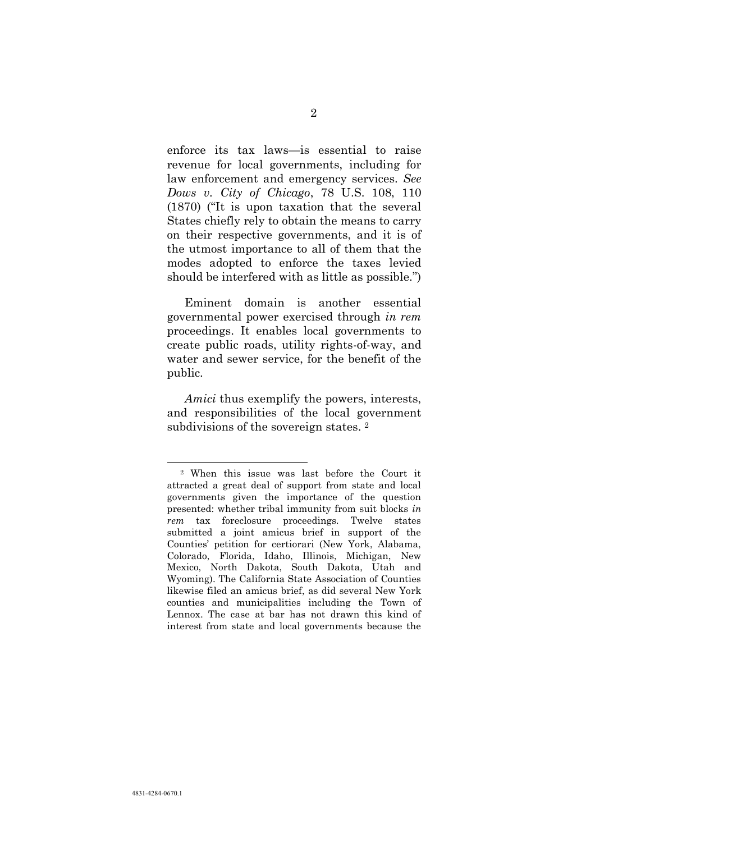enforce its tax laws—is essential to raise revenue for local governments, including for law enforcement and emergency services. *See Dows v. City of Chicago*, 78 U.S. 108, 110 (1870) ("It is upon taxation that the several States chiefly rely to obtain the means to carry on their respective governments, and it is of the utmost importance to all of them that the modes adopted to enforce the taxes levied should be interfered with as little as possible.")

Eminent domain is another essential governmental power exercised through *in rem* proceedings. It enables local governments to create public roads, utility rights-of-way, and water and sewer service, for the benefit of the public.

*Amici* thus exemplify the powers, interests, and responsibilities of the local government subdivisions of the sovereign states. <sup>2</sup>

l

<sup>2</sup> When this issue was last before the Court it attracted a great deal of support from state and local governments given the importance of the question presented: whether tribal immunity from suit blocks *in rem* tax foreclosure proceedings. Twelve states submitted a joint amicus brief in support of the Counties' petition for certiorari (New York, Alabama, Colorado, Florida, Idaho, Illinois, Michigan, New Mexico, North Dakota, South Dakota, Utah and Wyoming). The California State Association of Counties likewise filed an amicus brief, as did several New York counties and municipalities including the Town of Lennox. The case at bar has not drawn this kind of interest from state and local governments because the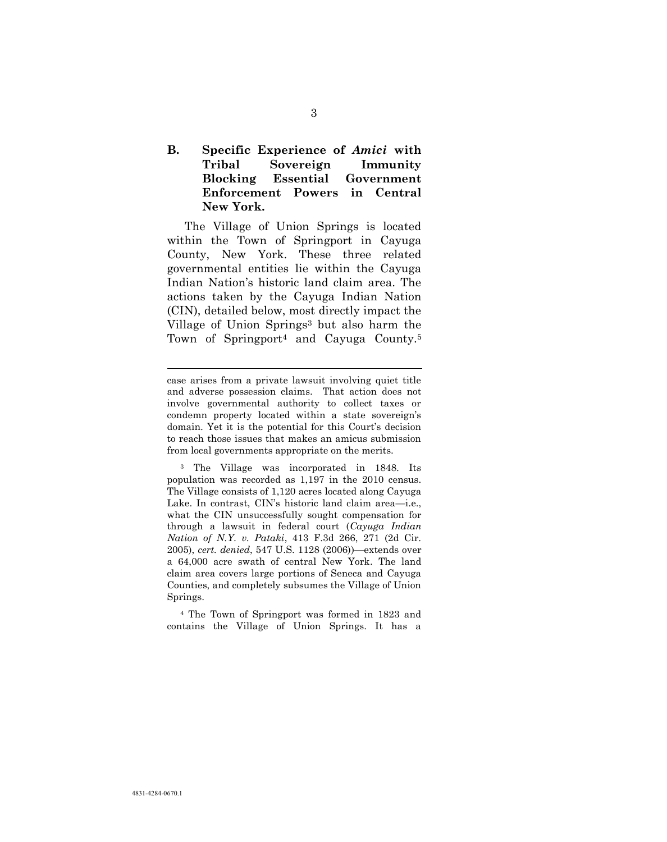### **B. Specific Experience of** *Amici* **with Tribal Sovereign Immunity Blocking Essential Government Enforcement Powers in Central New York.**

The Village of Union Springs is located within the Town of Springport in Cayuga County, New York. These three related governmental entities lie within the Cayuga Indian Nation's historic land claim area. The actions taken by the Cayuga Indian Nation (CIN), detailed below, most directly impact the Village of Union Springs<sup>3</sup> but also harm the Town of Springport<sup>4</sup> and Cayuga County.<sup>5</sup>

l

<sup>4</sup> The Town of Springport was formed in 1823 and contains the Village of Union Springs. It has a

case arises from a private lawsuit involving quiet title and adverse possession claims. That action does not involve governmental authority to collect taxes or condemn property located within a state sovereign's domain. Yet it is the potential for this Court's decision to reach those issues that makes an amicus submission from local governments appropriate on the merits.

<sup>3</sup> The Village was incorporated in 1848. Its population was recorded as 1,197 in the 2010 census. The Village consists of 1,120 acres located along Cayuga Lake. In contrast, CIN's historic land claim area—i.e., what the CIN unsuccessfully sought compensation for through a lawsuit in federal court (*Cayuga Indian Nation of N.Y. v. Pataki*, 413 F.3d 266, 271 (2d Cir. 2005), *cert. denied*, 547 U.S. 1128 (2006))—extends over a 64,000 acre swath of central New York. The land claim area covers large portions of Seneca and Cayuga Counties, and completely subsumes the Village of Union Springs.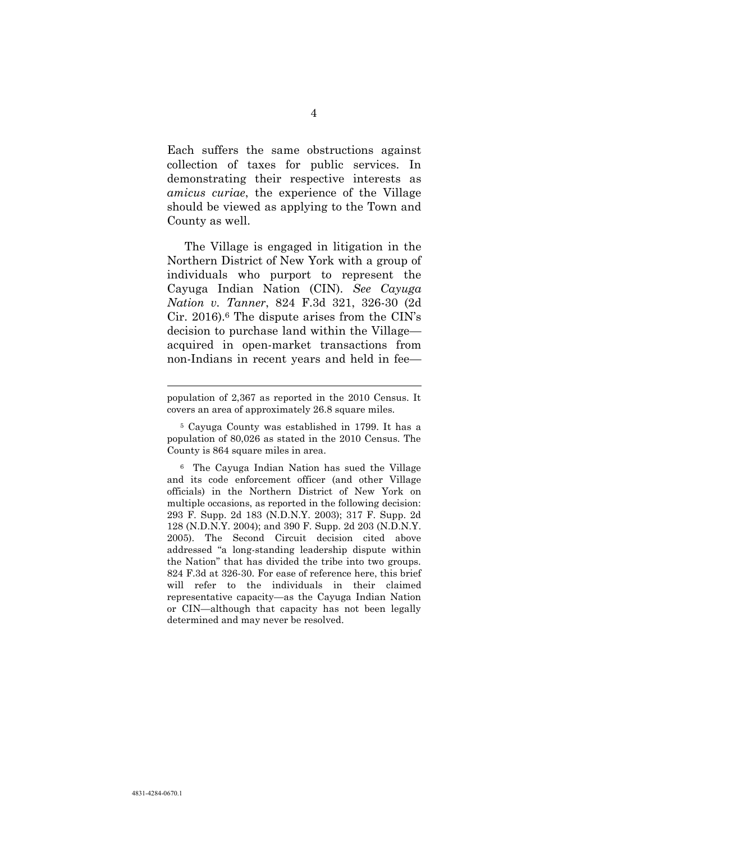Each suffers the same obstructions against collection of taxes for public services. In demonstrating their respective interests as *amicus curiae*, the experience of the Village should be viewed as applying to the Town and County as well.

The Village is engaged in litigation in the Northern District of New York with a group of individuals who purport to represent the Cayuga Indian Nation (CIN). *See Cayuga Nation v. Tanner*, 824 F.3d 321, 326-30 (2d Cir. 2016).<sup>6</sup> The dispute arises from the CIN's decision to purchase land within the Village acquired in open-market transactions from non-Indians in recent years and held in fee—

l

population of 2,367 as reported in the 2010 Census. It covers an area of approximately 26.8 square miles.

<sup>5</sup> Cayuga County was established in 1799. It has a population of 80,026 as stated in the 2010 Census. The County is 864 square miles in area.

<sup>6</sup> The Cayuga Indian Nation has sued the Village and its code enforcement officer (and other Village officials) in the Northern District of New York on multiple occasions, as reported in the following decision: 293 F. Supp. 2d 183 (N.D.N.Y. 2003); 317 F. Supp. 2d 128 (N.D.N.Y. 2004); and 390 F. Supp. 2d 203 (N.D.N.Y. 2005). The Second Circuit decision cited above addressed "a long-standing leadership dispute within the Nation" that has divided the tribe into two groups. 824 F.3d at 326-30. For ease of reference here, this brief will refer to the individuals in their claimed representative capacity—as the Cayuga Indian Nation or CIN—although that capacity has not been legally determined and may never be resolved.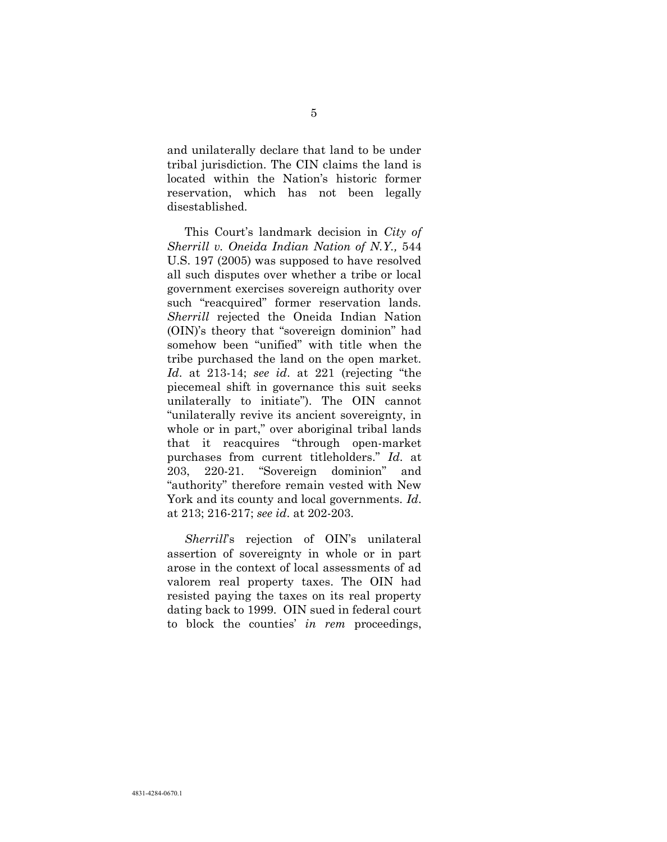and unilaterally declare that land to be under tribal jurisdiction. The CIN claims the land is located within the Nation's historic former reservation, which has not been legally disestablished.

<span id="page-13-0"></span>This Court's landmark decision in *City of Sherrill v. Oneida Indian Nation of N.Y.,* 544 U.S. 197 (2005) was supposed to have resolved all such disputes over whether a tribe or local government exercises sovereign authority over such "reacquired" former reservation lands. *Sherrill* rejected the Oneida Indian Nation (OIN)'s theory that "sovereign dominion" had somehow been "unified" with title when the tribe purchased the land on the open market. *Id*. at 213-14; *see id*. at 221 (rejecting "the piecemeal shift in governance this suit seeks unilaterally to initiate"). The OIN cannot "unilaterally revive its ancient sovereignty, in whole or in part," over aboriginal tribal lands that it reacquires "through open-market purchases from current titleholders." *Id*. at 203, 220-21. "Sovereign dominion" and "authority" therefore remain vested with New York and its county and local governments. *Id*. at 213; 216-217; *see id*. at 202-203.

*Sherrill*'s rejection of OIN's unilateral assertion of sovereignty in whole or in part arose in the context of local assessments of ad valorem real property taxes. The OIN had resisted paying the taxes on its real property dating back to 1999. OIN sued in federal court to block the counties' *in rem* proceedings,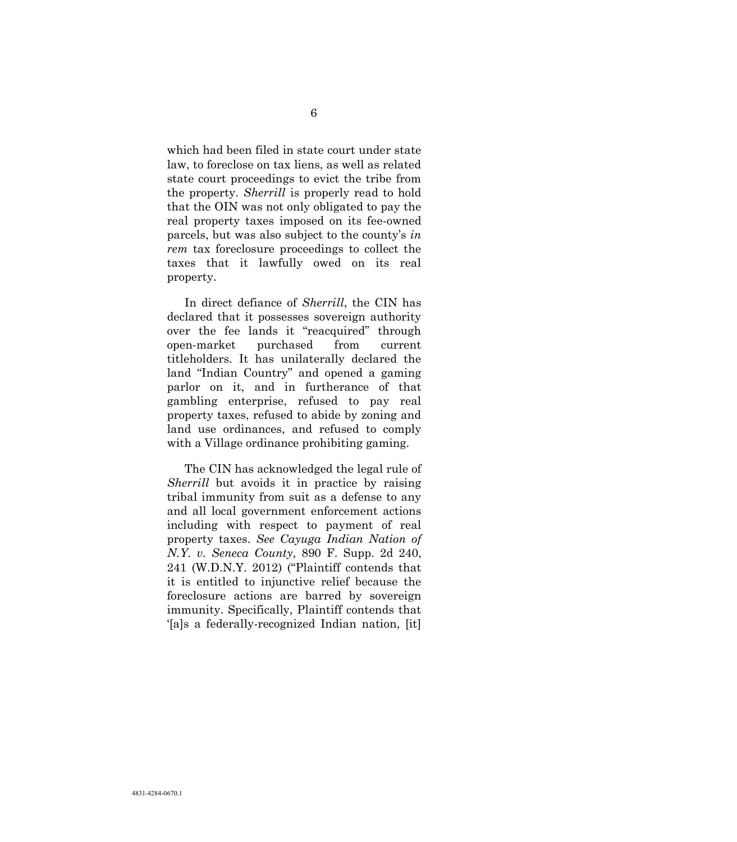which had been filed in state court under state law, to foreclose on tax liens, as well as related state court proceedings to evict the tribe from the property. *Sherrill* is properly read to hold that the OIN was not only obligated to pay the real property taxes imposed on its fee-owned parcels, but was also subject to the county's *in rem* tax foreclosure proceedings to collect the taxes that it lawfully owed on its real property.

In direct defiance of *Sherrill*, the CIN has declared that it possesses sovereign authority over the fee lands it "reacquired" through open-market purchased from current titleholders. It has unilaterally declared the land "Indian Country" and opened a gaming parlor on it, and in furtherance of that gambling enterprise, refused to pay real property taxes, refused to abide by zoning and land use ordinances, and refused to comply with a Village ordinance prohibiting gaming.

The CIN has acknowledged the legal rule of *Sherrill* but avoids it in practice by raising tribal immunity from suit as a defense to any and all local government enforcement actions including with respect to payment of real property taxes. *See Cayuga Indian Nation of N.Y. v. Seneca County*, 890 F. Supp. 2d 240, 241 (W.D.N.Y. 2012) ("Plaintiff contends that it is entitled to injunctive relief because the foreclosure actions are barred by sovereign immunity. Specifically, Plaintiff contends that '[a]s a federally-recognized Indian nation, [it]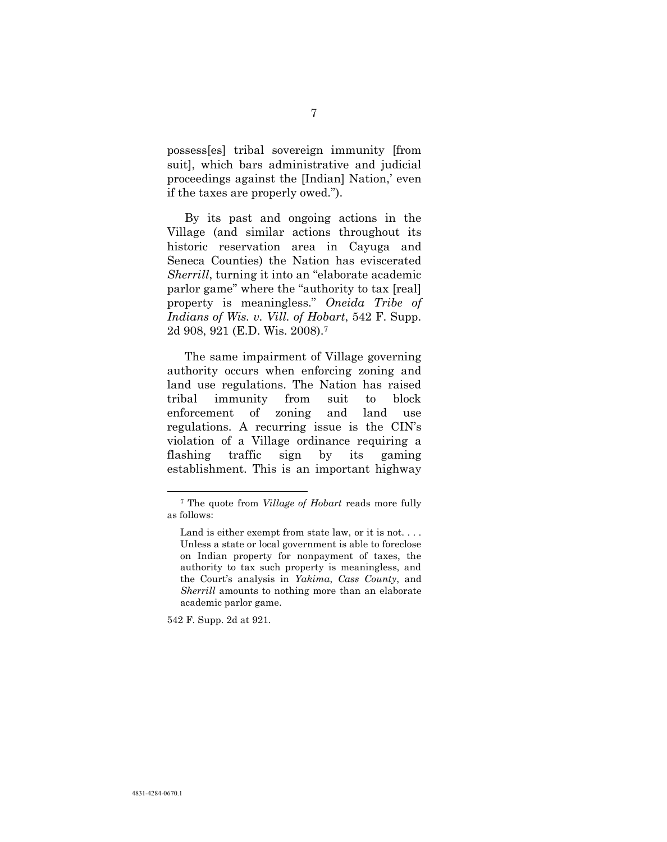possess[es] tribal sovereign immunity [from suit], which bars administrative and judicial proceedings against the [Indian] Nation,' even if the taxes are properly owed.").

By its past and ongoing actions in the Village (and similar actions throughout its historic reservation area in Cayuga and Seneca Counties) the Nation has eviscerated *Sherrill*, turning it into an "elaborate academic parlor game" where the "authority to tax [real] property is meaningless." *Oneida Tribe of Indians of Wis. v. Vill. of Hobart*, 542 F. Supp. 2d 908, 921 (E.D. Wis. 2008).<sup>7</sup>

The same impairment of Village governing authority occurs when enforcing zoning and land use regulations. The Nation has raised tribal immunity from suit to block enforcement of zoning and land use regulations. A recurring issue is the CIN's violation of a Village ordinance requiring a flashing traffic sign by its gaming establishment. This is an important highway

542 F. Supp. 2d at 921.

 $\overline{a}$ 

<sup>7</sup> The quote from *Village of Hobart* reads more fully as follows:

<span id="page-15-0"></span>Land is either exempt from state law, or it is not.... Unless a state or local government is able to foreclose on Indian property for nonpayment of taxes, the authority to tax such property is meaningless, and the Court's analysis in *Yakima*, *Cass County*, and *Sherrill* amounts to nothing more than an elaborate academic parlor game.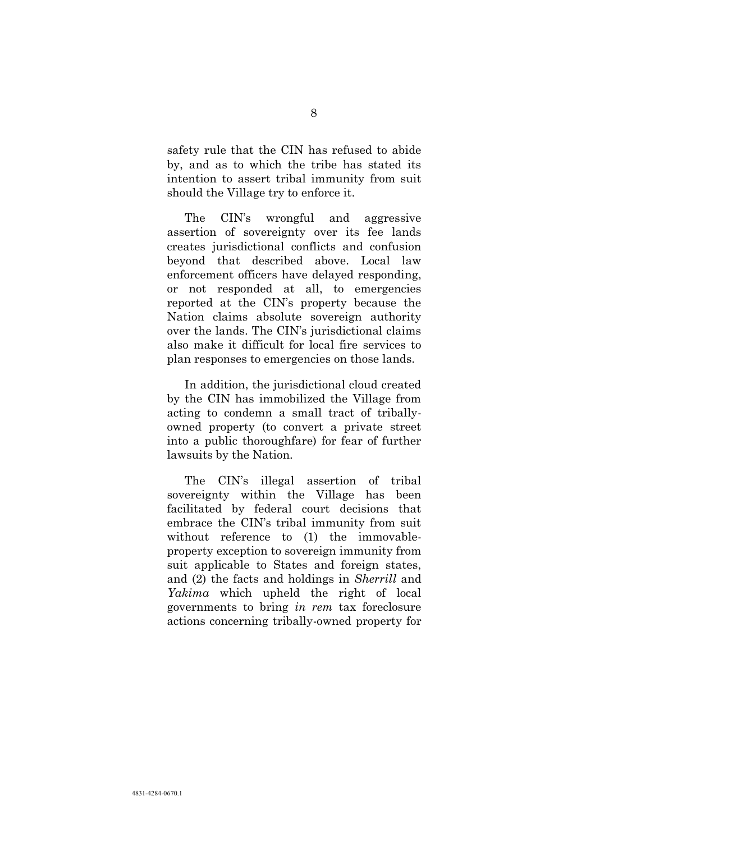safety rule that the CIN has refused to abide by, and as to which the tribe has stated its intention to assert tribal immunity from suit should the Village try to enforce it.

The CIN's wrongful and aggressive assertion of sovereignty over its fee lands creates jurisdictional conflicts and confusion beyond that described above. Local law enforcement officers have delayed responding, or not responded at all, to emergencies reported at the CIN's property because the Nation claims absolute sovereign authority over the lands. The CIN's jurisdictional claims also make it difficult for local fire services to plan responses to emergencies on those lands.

In addition, the jurisdictional cloud created by the CIN has immobilized the Village from acting to condemn a small tract of triballyowned property (to convert a private street into a public thoroughfare) for fear of further lawsuits by the Nation.

The CIN's illegal assertion of tribal sovereignty within the Village has been facilitated by federal court decisions that embrace the CIN's tribal immunity from suit without reference to (1) the immovableproperty exception to sovereign immunity from suit applicable to States and foreign states, and (2) the facts and holdings in *Sherrill* and *Yakima* which upheld the right of local governments to bring *in rem* tax foreclosure actions concerning tribally-owned property for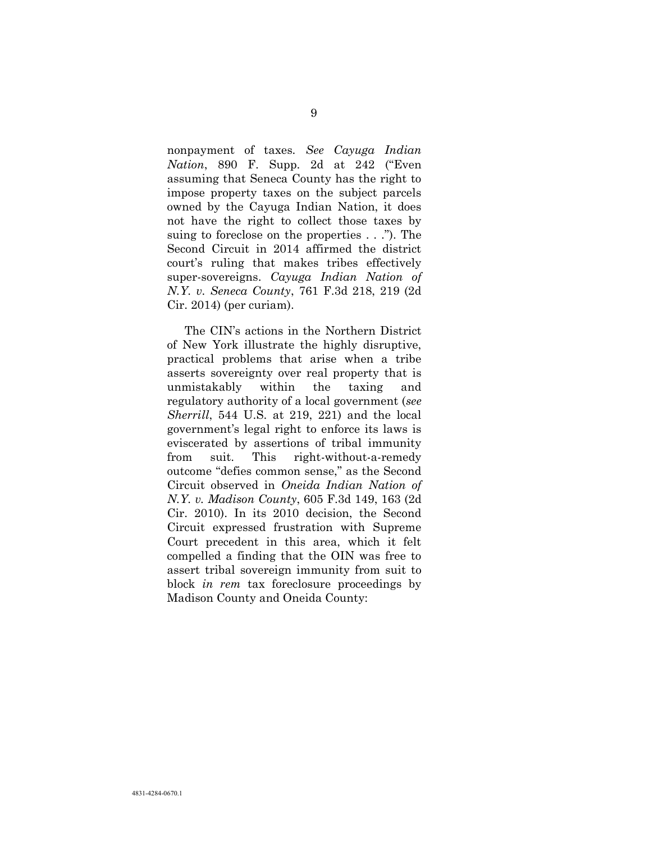nonpayment of taxes*. See Cayuga Indian Nation*, 890 F. Supp. 2d at 242 ("Even assuming that Seneca County has the right to impose property taxes on the subject parcels owned by the Cayuga Indian Nation, it does not have the right to collect those taxes by suing to foreclose on the properties . . ."). The Second Circuit in 2014 affirmed the district court's ruling that makes tribes effectively super-sovereigns. *Cayuga Indian Nation of N.Y. v. Seneca County*, 761 F.3d 218, 219 (2d Cir. 2014) (per curiam).

<span id="page-17-0"></span>The CIN's actions in the Northern District of New York illustrate the highly disruptive, practical problems that arise when a tribe asserts sovereignty over real property that is unmistakably within the taxing and regulatory authority of a local government (*see Sherrill*, 544 U.S. at 219, 221) and the local government's legal right to enforce its laws is eviscerated by assertions of tribal immunity from suit. This right-without-a-remedy outcome "defies common sense," as the Second Circuit observed in *Oneida Indian Nation of N.Y. v. Madison County*, 605 F.3d 149, 163 (2d Cir. 2010). In its 2010 decision, the Second Circuit expressed frustration with Supreme Court precedent in this area, which it felt compelled a finding that the OIN was free to assert tribal sovereign immunity from suit to block *in rem* tax foreclosure proceedings by Madison County and Oneida County: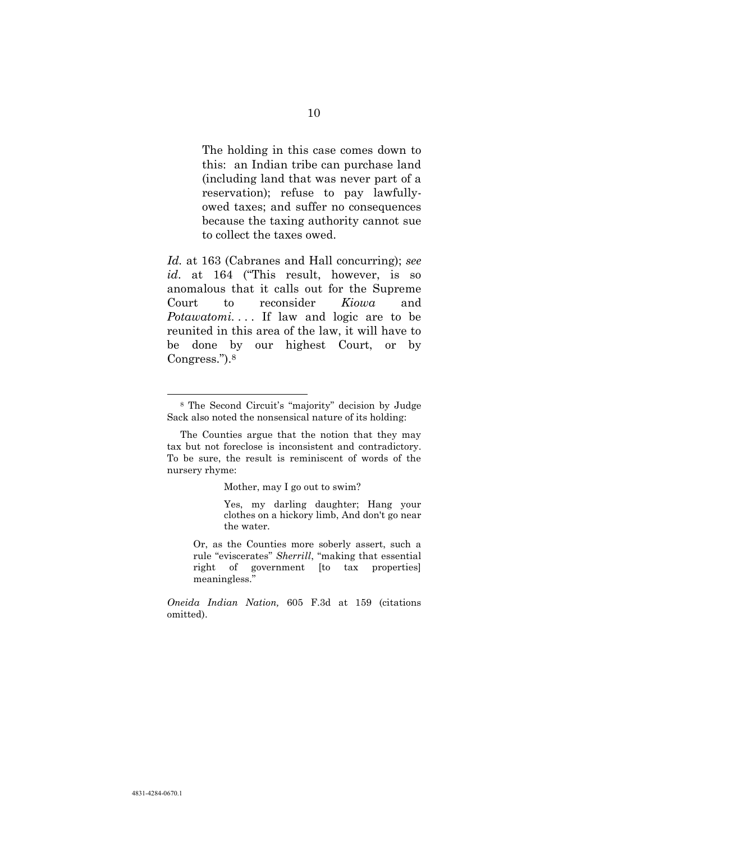The holding in this case comes down to this: an Indian tribe can purchase land (including land that was never part of a reservation); refuse to pay lawfullyowed taxes; and suffer no consequences because the taxing authority cannot sue to collect the taxes owed.

<span id="page-18-0"></span>*Id.* at 163 (Cabranes and Hall concurring); *see id*. at 164 ("This result, however, is so anomalous that it calls out for the Supreme Court to reconsider *Kiowa* and *Potawatomi...* If law and logic are to be reunited in this area of the law, it will have to be done by our highest Court, or by Congress.").<sup>8</sup>

l

Mother, may I go out to swim?

Yes, my darling daughter; Hang your clothes on a hickory limb, And don't go near the water.

Or, as the Counties more soberly assert, such a rule "eviscerates" *Sherrill*, "making that essential right of government [to tax properties] meaningless."

*Oneida Indian Nation,* 605 F.3d at 159 (citations omitted).

<sup>8</sup> The Second Circuit's "majority" decision by Judge Sack also noted the nonsensical nature of its holding:

The Counties argue that the notion that they may tax but not foreclose is inconsistent and contradictory. To be sure, the result is reminiscent of words of the nursery rhyme: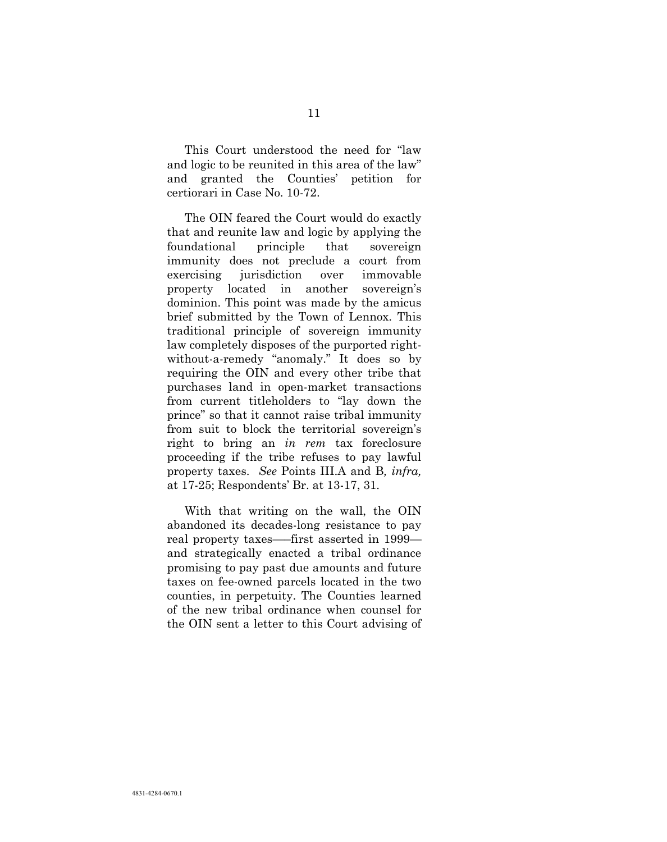This Court understood the need for "law and logic to be reunited in this area of the law" and granted the Counties' petition for certiorari in Case No. 10-72.

The OIN feared the Court would do exactly that and reunite law and logic by applying the foundational principle that sovereign immunity does not preclude a court from exercising jurisdiction over immovable property located in another sovereign's dominion. This point was made by the amicus brief submitted by the Town of Lennox. This traditional principle of sovereign immunity law completely disposes of the purported rightwithout-a-remedy "anomaly." It does so by requiring the OIN and every other tribe that purchases land in open-market transactions from current titleholders to "lay down the prince" so that it cannot raise tribal immunity from suit to block the territorial sovereign's right to bring an *in rem* tax foreclosure proceeding if the tribe refuses to pay lawful property taxes. *See* Points III.A and B*, infra,*  at 17-25; Respondents' Br. at 13-17, 31.

With that writing on the wall, the OIN abandoned its decades-long resistance to pay real property taxes—–first asserted in 1999 and strategically enacted a tribal ordinance promising to pay past due amounts and future taxes on fee-owned parcels located in the two counties, in perpetuity. The Counties learned of the new tribal ordinance when counsel for the OIN sent a letter to this Court advising of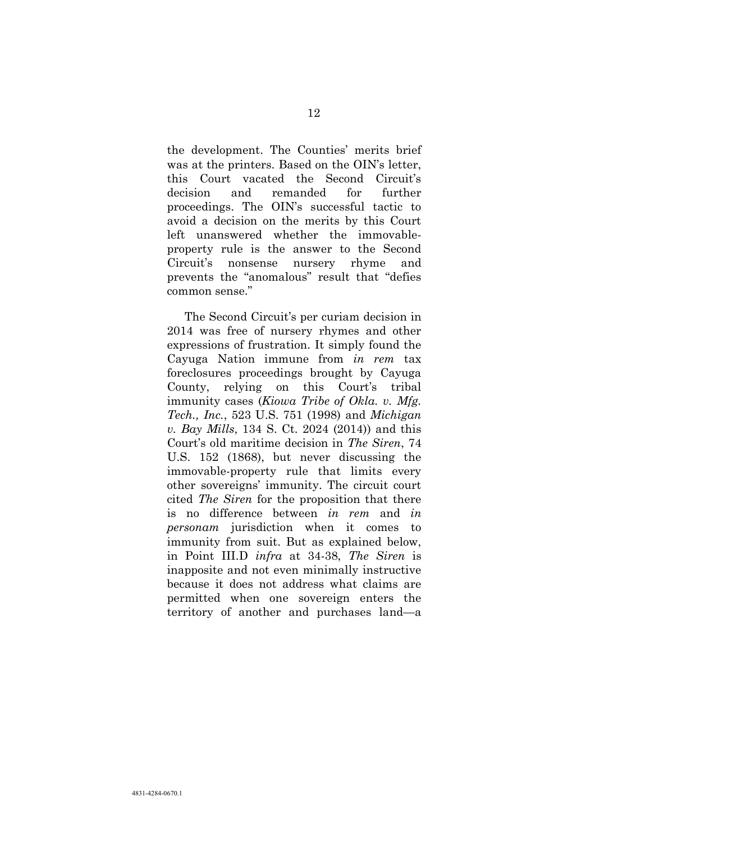the development. The Counties' merits brief was at the printers. Based on the OIN's letter, this Court vacated the Second Circuit's decision and remanded for further proceedings. The OIN's successful tactic to avoid a decision on the merits by this Court left unanswered whether the immovableproperty rule is the answer to the Second Circuit's nonsense nursery rhyme and prevents the "anomalous" result that "defies common sense."

The Second Circuit's per curiam decision in 2014 was free of nursery rhymes and other expressions of frustration. It simply found the Cayuga Nation immune from *in rem* tax foreclosures proceedings brought by Cayuga County, relying on this Court's tribal immunity cases (*Kiowa Tribe of Okla. v. Mfg. Tech., Inc.*, 523 U.S. 751 (1998) and *Michigan v. Bay Mills*, 134 S. Ct. 2024 (2014)) and this Court's old maritime decision in *The Siren*, 74 U.S. 152 (1868), but never discussing the immovable-property rule that limits every other sovereigns' immunity. The circuit court cited *The Siren* for the proposition that there is no difference between *in rem* and *in personam* jurisdiction when it comes to immunity from suit. But as explained below, in Point III.D *infra* at 34-38, *The Siren* is inapposite and not even minimally instructive because it does not address what claims are permitted when one sovereign enters the territory of another and purchases land—a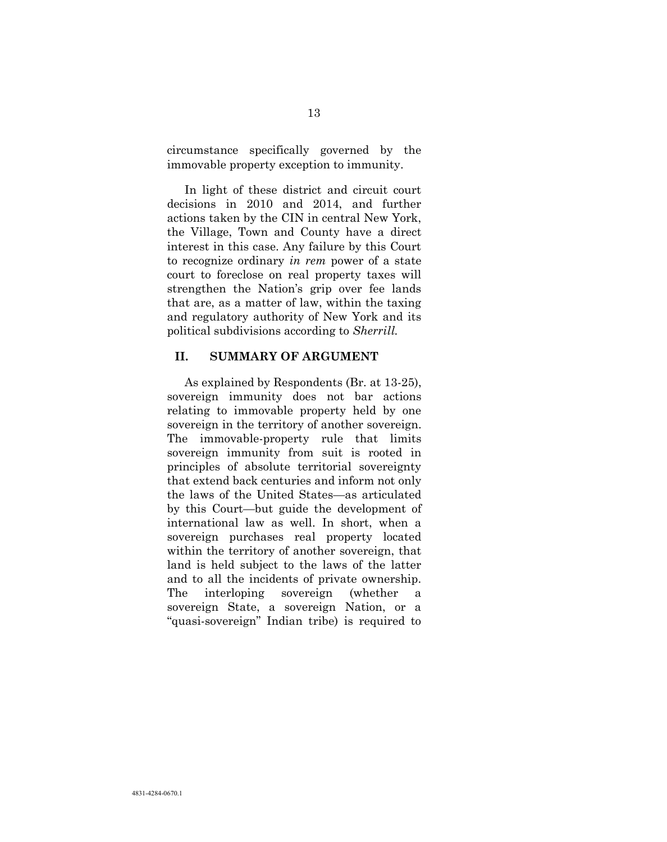circumstance specifically governed by the immovable property exception to immunity.

In light of these district and circuit court decisions in 2010 and 2014, and further actions taken by the CIN in central New York, the Village, Town and County have a direct interest in this case. Any failure by this Court to recognize ordinary *in rem* power of a state court to foreclose on real property taxes will strengthen the Nation's grip over fee lands that are, as a matter of law, within the taxing and regulatory authority of New York and its political subdivisions according to *Sherrill.*

#### **II. SUMMARY OF ARGUMENT**

As explained by Respondents (Br. at 13-25), sovereign immunity does not bar actions relating to immovable property held by one sovereign in the territory of another sovereign. The immovable-property rule that limits sovereign immunity from suit is rooted in principles of absolute territorial sovereignty that extend back centuries and inform not only the laws of the United States—as articulated by this Court—but guide the development of international law as well. In short, when a sovereign purchases real property located within the territory of another sovereign, that land is held subject to the laws of the latter and to all the incidents of private ownership. The interloping sovereign (whether a sovereign State, a sovereign Nation, or a "quasi-sovereign" Indian tribe) is required to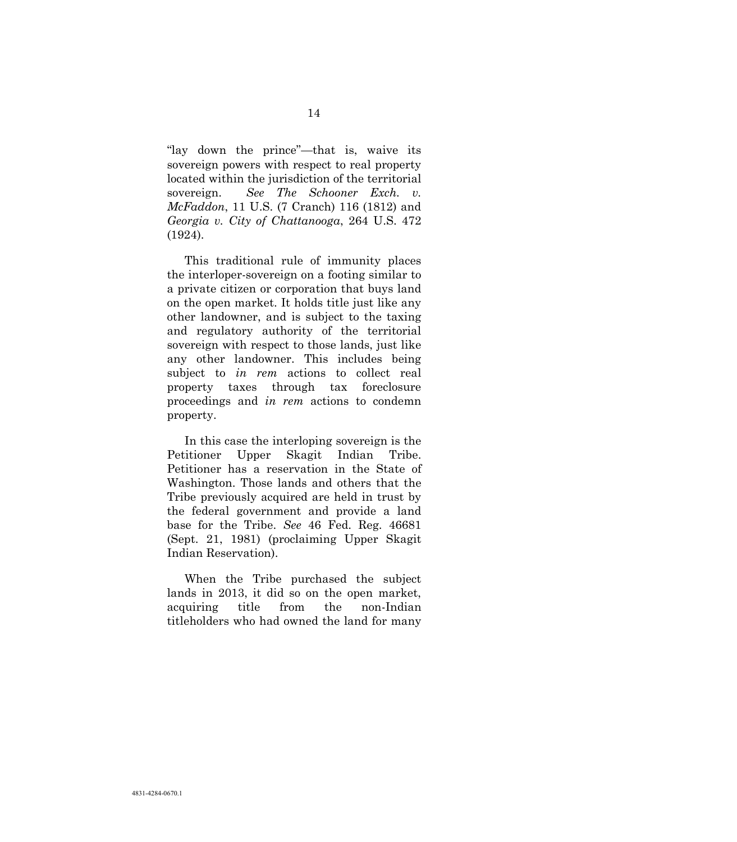"lay down the prince"—that is, waive its sovereign powers with respect to real property located within the jurisdiction of the territorial sovereign. *See The Schooner Exch. v. McFaddon*, 11 U.S. (7 Cranch) 116 (1812) and *Georgia v. City of Chattanooga*, 264 U.S. 472 (1924).

This traditional rule of immunity places the interloper-sovereign on a footing similar to a private citizen or corporation that buys land on the open market. It holds title just like any other landowner, and is subject to the taxing and regulatory authority of the territorial sovereign with respect to those lands, just like any other landowner. This includes being subject to *in rem* actions to collect real property taxes through tax foreclosure proceedings and *in rem* actions to condemn property.

In this case the interloping sovereign is the Petitioner Upper Skagit Indian Tribe. Petitioner has a reservation in the State of Washington. Those lands and others that the Tribe previously acquired are held in trust by the federal government and provide a land base for the Tribe. *See* 46 Fed. Reg. 46681 (Sept. 21, 1981) (proclaiming Upper Skagit Indian Reservation).

When the Tribe purchased the subject lands in 2013, it did so on the open market, acquiring title from the non-Indian titleholders who had owned the land for many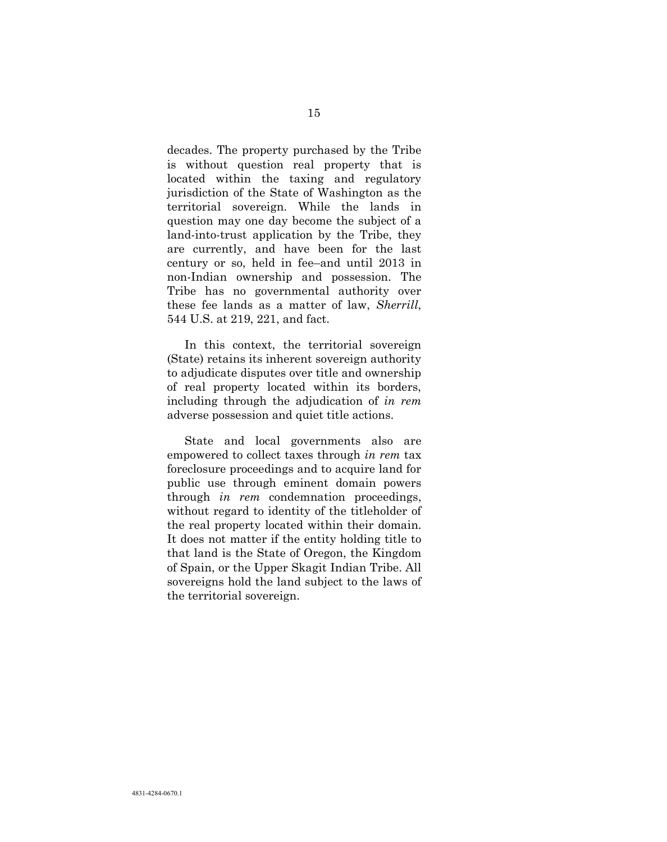decades. The property purchased by the Tribe is without question real property that is located within the taxing and regulatory jurisdiction of the State of Washington as the territorial sovereign. While the lands in question may one day become the subject of a land-into-trust application by the Tribe, they are currently, and have been for the last century or so, held in fee–and until 2013 in non-Indian ownership and possession. The Tribe has no governmental authority over these fee lands as a matter of law, *Sherrill*, 544 U.S. at 219, 221, and fact.

In this context, the territorial sovereign (State) retains its inherent sovereign authority to adjudicate disputes over title and ownership of real property located within its borders, including through the adjudication of *in rem* adverse possession and quiet title actions.

State and local governments also are empowered to collect taxes through *in rem* tax foreclosure proceedings and to acquire land for public use through eminent domain powers through *in rem* condemnation proceedings, without regard to identity of the titleholder of the real property located within their domain. It does not matter if the entity holding title to that land is the State of Oregon, the Kingdom of Spain, or the Upper Skagit Indian Tribe. All sovereigns hold the land subject to the laws of the territorial sovereign.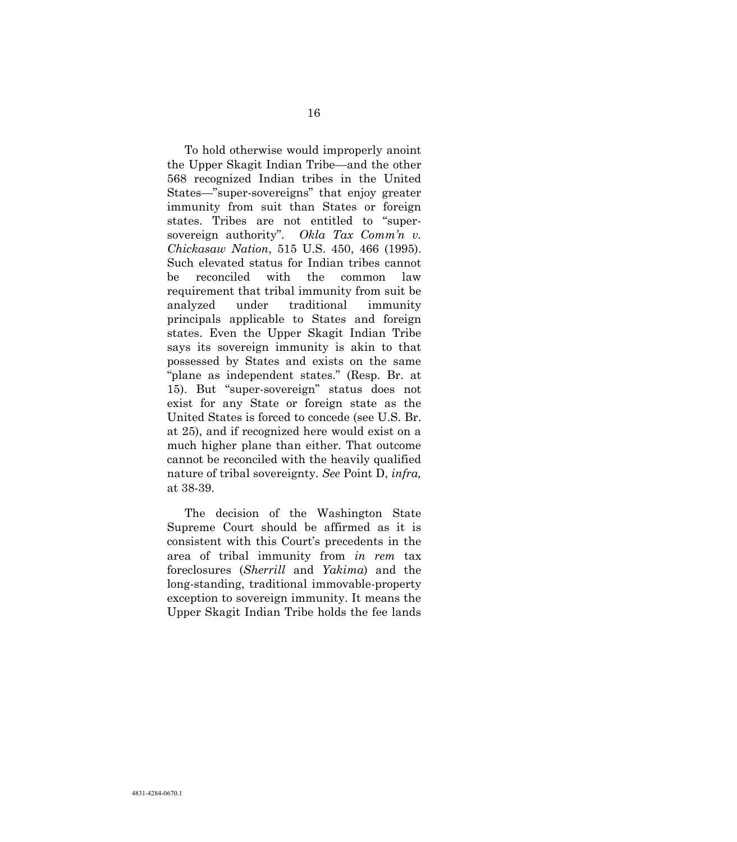To hold otherwise would improperly anoint the Upper Skagit Indian Tribe—and the other 568 recognized Indian tribes in the United States—"super-sovereigns" that enjoy greater immunity from suit than States or foreign states. Tribes are not entitled to "supersovereign authority". *Okla Tax Comm'n v. Chickasaw Nation*, 515 U.S. 450, 466 (1995). Such elevated status for Indian tribes cannot be reconciled with the common law requirement that tribal immunity from suit be analyzed under traditional immunity principals applicable to States and foreign states. Even the Upper Skagit Indian Tribe says its sovereign immunity is akin to that possessed by States and exists on the same "plane as independent states." (Resp. Br. at 15). But "super-sovereign" status does not exist for any State or foreign state as the United States is forced to concede (see U.S. Br. at 25), and if recognized here would exist on a much higher plane than either. That outcome cannot be reconciled with the heavily qualified nature of tribal sovereignty. *See* Point D, *infra,* at 38-39.

The decision of the Washington State Supreme Court should be affirmed as it is consistent with this Court's precedents in the area of tribal immunity from *in rem* tax foreclosures (*Sherrill* and *Yakima*) and the long-standing, traditional immovable-property exception to sovereign immunity. It means the Upper Skagit Indian Tribe holds the fee lands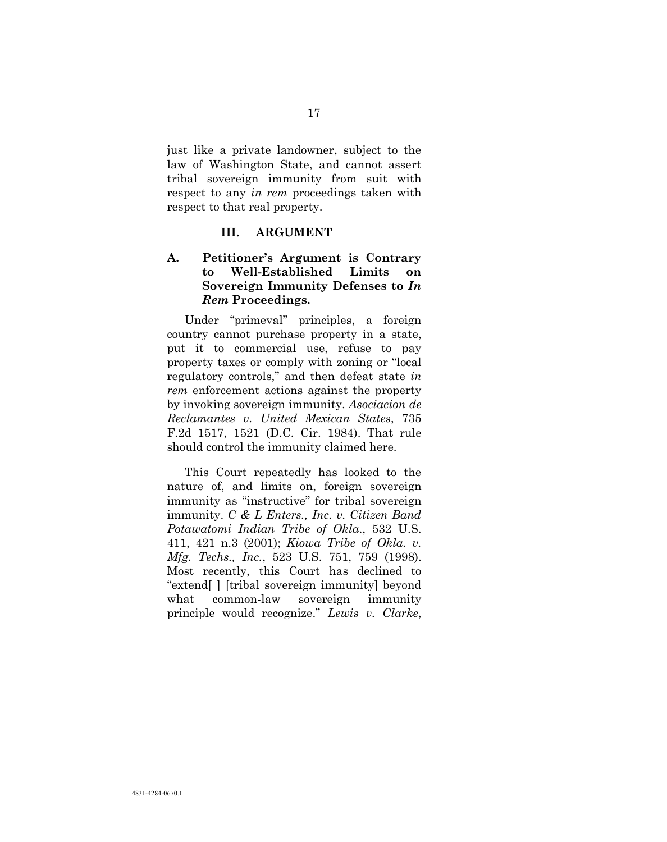just like a private landowner, subject to the law of Washington State, and cannot assert tribal sovereign immunity from suit with respect to any *in rem* proceedings taken with respect to that real property.

#### **III. ARGUMENT**

### **A. Petitioner's Argument is Contrary to Well-Established Limits on Sovereign Immunity Defenses to** *In Rem* **Proceedings.**

Under "primeval" principles, a foreign country cannot purchase property in a state, put it to commercial use, refuse to pay property taxes or comply with zoning or "local regulatory controls," and then defeat state *in rem* enforcement actions against the property by invoking sovereign immunity. *Asociacion de Reclamantes v. United Mexican States*, 735 F.2d 1517, 1521 (D.C. Cir. 1984). That rule should control the immunity claimed here.

<span id="page-25-0"></span>This Court repeatedly has looked to the nature of, and limits on, foreign sovereign immunity as "instructive" for tribal sovereign immunity. *C & L Enters., Inc. v. Citizen Band Potawatomi Indian Tribe of Okla*., 532 U.S. 411, 421 n.3 (2001); *Kiowa Tribe of Okla. v. Mfg. Techs., Inc.*, 523 U.S. 751, 759 (1998). Most recently, this Court has declined to "extend[ ] [tribal sovereign immunity] beyond what common-law sovereign immunity principle would recognize." *Lewis v. Clarke*,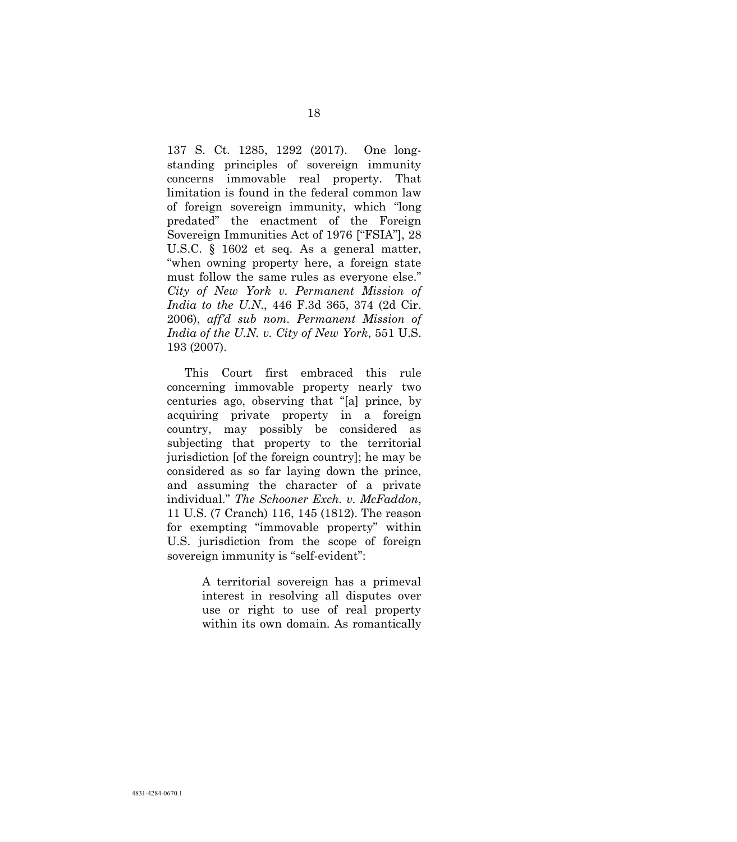137 S. Ct. 1285, 1292 (2017). One longstanding principles of sovereign immunity concerns immovable real property. That limitation is found in the federal common law of foreign sovereign immunity, which "long predated" the enactment of the Foreign Sovereign Immunities Act of 1976 ["FSIA"], 28 U.S.C. § 1602 et seq. As a general matter, "when owning property here, a foreign state must follow the same rules as everyone else." *City of New York v. Permanent Mission of India to the U.N*., 446 F.3d 365, 374 (2d Cir. 2006), *aff'd sub nom. Permanent Mission of India of the U.N. v. City of New York*, 551 U.S. 193 (2007).

This Court first embraced this rule concerning immovable property nearly two centuries ago, observing that "[a] prince, by acquiring private property in a foreign country, may possibly be considered as subjecting that property to the territorial jurisdiction [of the foreign country]; he may be considered as so far laying down the prince, and assuming the character of a private individual." *The Schooner Exch. v. McFaddon*, 11 U.S. (7 Cranch) 116, 145 (1812). The reason for exempting "immovable property" within U.S. jurisdiction from the scope of foreign sovereign immunity is "self-evident":

> A territorial sovereign has a primeval interest in resolving all disputes over use or right to use of real property within its own domain. As romantically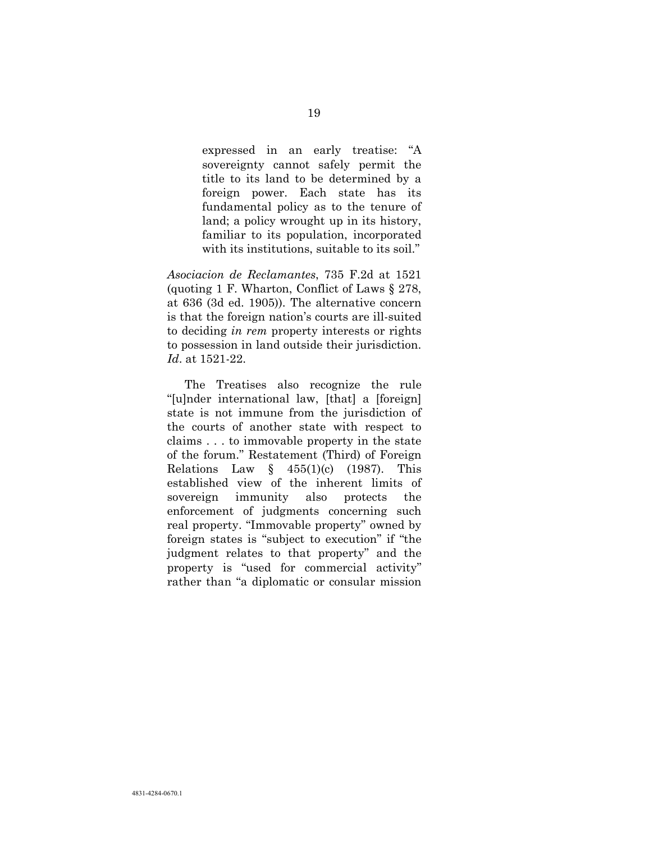expressed in an early treatise: "A sovereignty cannot safely permit the title to its land to be determined by a foreign power. Each state has its fundamental policy as to the tenure of land; a policy wrought up in its history, familiar to its population, incorporated with its institutions, suitable to its soil."

*Asociacion de Reclamantes*, 735 F.2d at 1521 (quoting 1 F. Wharton, Conflict of Laws § 278, at 636 (3d ed. 1905)). The alternative concern is that the foreign nation's courts are ill-suited to deciding *in rem* property interests or rights to possession in land outside their jurisdiction. *Id*. at 1521-22.

The Treatises also recognize the rule "[u]nder international law, [that] a [foreign] state is not immune from the jurisdiction of the courts of another state with respect to claims . . . to immovable property in the state of the forum." Restatement (Third) of Foreign Relations Law  $\frac{1}{2}$  455(1)(c) (1987). This established view of the inherent limits of sovereign immunity also protects the enforcement of judgments concerning such real property. "Immovable property" owned by foreign states is "subject to execution" if "the judgment relates to that property" and the property is "used for commercial activity" rather than "a diplomatic or consular mission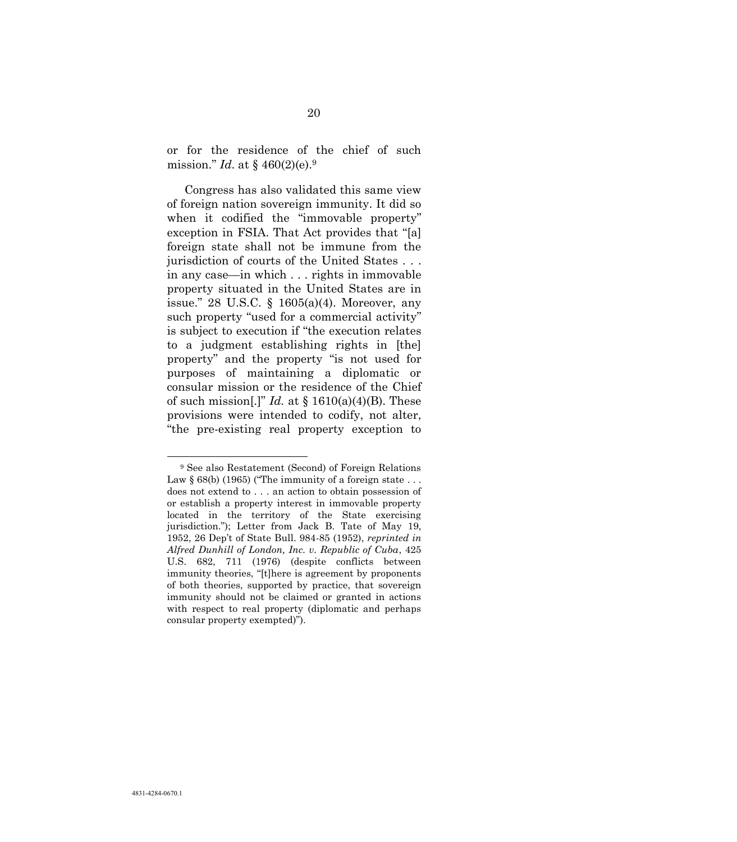or for the residence of the chief of such mission." *Id*. at § 460(2)(e).<sup>9</sup>

Congress has also validated this same view of foreign nation sovereign immunity. It did so when it codified the "immovable property" exception in FSIA. That Act provides that "[a] foreign state shall not be immune from the jurisdiction of courts of the United States . . . in any case—in which . . . rights in immovable property situated in the United States are in issue." 28 U.S.C. § 1605(a)(4). Moreover, any such property "used for a commercial activity" is subject to execution if "the execution relates to a judgment establishing rights in [the] property" and the property "is not used for purposes of maintaining a diplomatic or consular mission or the residence of the Chief of such mission[.]" *Id.* at  $\S$  1610(a)(4)(B). These provisions were intended to codify, not alter, "the pre-existing real property exception to

l

<span id="page-28-0"></span><sup>9</sup> See also Restatement (Second) of Foreign Relations Law  $\S 68(b)$  (1965) ("The immunity of a foreign state ... does not extend to . . . an action to obtain possession of or establish a property interest in immovable property located in the territory of the State exercising jurisdiction."); Letter from Jack B. Tate of May 19, 1952, 26 Dep't of State Bull. 984-85 (1952), *reprinted in Alfred Dunhill of London, Inc. v. Republic of Cuba*, 425 U.S. 682, 711 (1976) (despite conflicts between immunity theories, "[t]here is agreement by proponents of both theories, supported by practice, that sovereign immunity should not be claimed or granted in actions with respect to real property (diplomatic and perhaps consular property exempted)").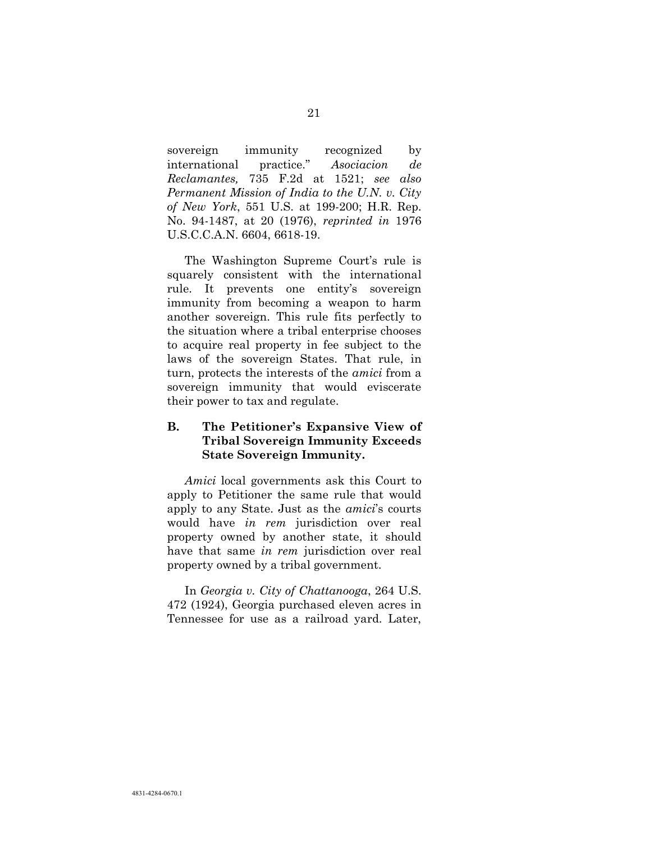<span id="page-29-1"></span><span id="page-29-0"></span>sovereign immunity recognized by international practice." *Asociacion de Reclamantes,* 735 F.2d at 1521; *see also Permanent Mission of India to the U.N. v. City of New York*, 551 U.S. at 199-200; H.R. Rep. No. 94-1487, at 20 (1976), *reprinted in* 1976 U.S.C.C.A.N. 6604, 6618-19.

The Washington Supreme Court's rule is squarely consistent with the international rule. It prevents one entity's sovereign immunity from becoming a weapon to harm another sovereign. This rule fits perfectly to the situation where a tribal enterprise chooses to acquire real property in fee subject to the laws of the sovereign States. That rule, in turn, protects the interests of the *amici* from a sovereign immunity that would eviscerate their power to tax and regulate.

#### **B. The Petitioner's Expansive View of Tribal Sovereign Immunity Exceeds State Sovereign Immunity.**

*Amici* local governments ask this Court to apply to Petitioner the same rule that would apply to any State. Just as the *amici*'s courts would have *in rem* jurisdiction over real property owned by another state, it should have that same *in rem* jurisdiction over real property owned by a tribal government.

In *Georgia v. City of Chattanooga*, 264 U.S. 472 (1924), Georgia purchased eleven acres in Tennessee for use as a railroad yard. Later,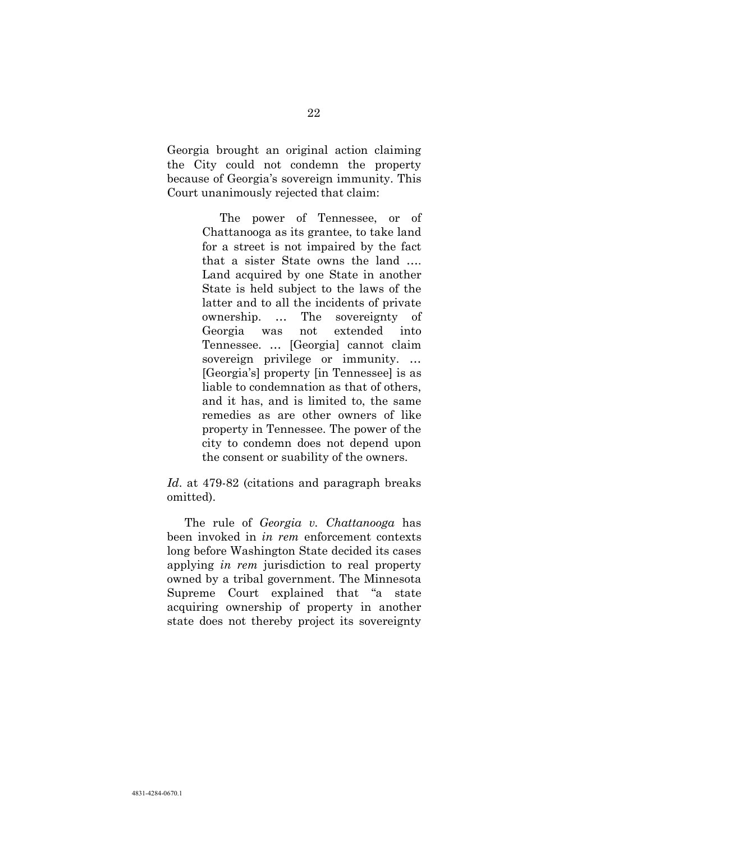Georgia brought an original action claiming the City could not condemn the property because of Georgia's sovereign immunity. This Court unanimously rejected that claim:

> The power of Tennessee, or of Chattanooga as its grantee, to take land for a street is not impaired by the fact that a sister State owns the land …. Land acquired by one State in another State is held subject to the laws of the latter and to all the incidents of private ownership. … The sovereignty of Georgia was not extended into Tennessee. … [Georgia] cannot claim sovereign privilege or immunity. … [Georgia's] property [in Tennessee] is as liable to condemnation as that of others, and it has, and is limited to, the same remedies as are other owners of like property in Tennessee. The power of the city to condemn does not depend upon the consent or suability of the owners.

*Id*. at 479-82 (citations and paragraph breaks omitted).

The rule of *Georgia v. Chattanooga* has been invoked in *in rem* enforcement contexts long before Washington State decided its cases applying *in rem* jurisdiction to real property owned by a tribal government. The Minnesota Supreme Court explained that "a state acquiring ownership of property in another state does not thereby project its sovereignty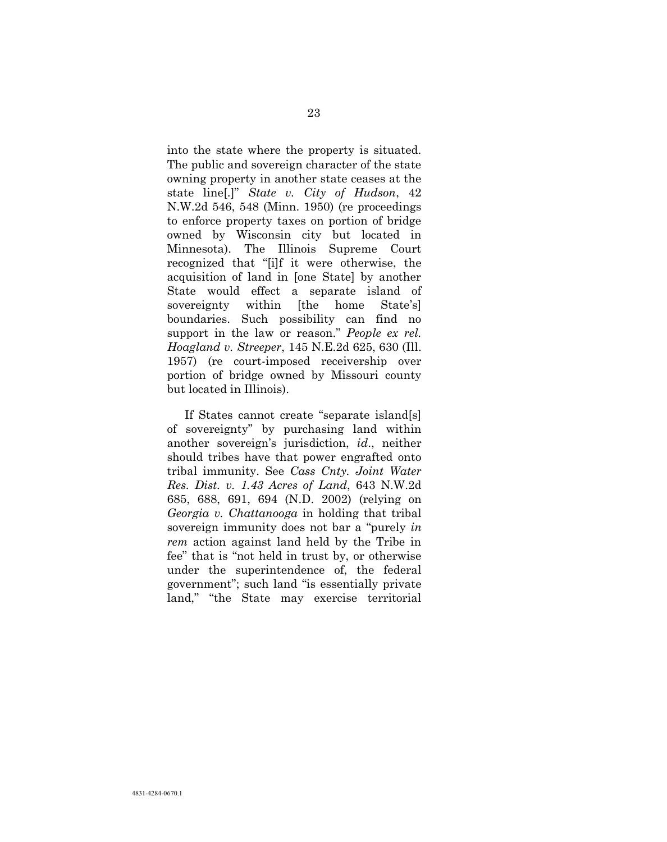<span id="page-31-2"></span>into the state where the property is situated. The public and sovereign character of the state owning property in another state ceases at the state line[.]" *State v. City of Hudson*, 42 N.W.2d 546, 548 (Minn. 1950) (re proceedings to enforce property taxes on portion of bridge owned by Wisconsin city but located in Minnesota). The Illinois Supreme Court recognized that "[i]f it were otherwise, the acquisition of land in [one State] by another State would effect a separate island of sovereignty within [the home State's] boundaries. Such possibility can find no support in the law or reason." *People ex rel. Hoagland v. Streeper*, 145 N.E.2d 625, 630 (Ill. 1957) (re court-imposed receivership over portion of bridge owned by Missouri county but located in Illinois).

<span id="page-31-1"></span><span id="page-31-0"></span>If States cannot create "separate island[s] of sovereignty" by purchasing land within another sovereign's jurisdiction, *id*., neither should tribes have that power engrafted onto tribal immunity. See *Cass Cnty. Joint Water Res. Dist. v. 1.43 Acres of Land*, 643 N.W.2d 685, 688, 691, 694 (N.D. 2002) (relying on *Georgia v. Chattanooga* in holding that tribal sovereign immunity does not bar a "purely *in rem* action against land held by the Tribe in fee" that is "not held in trust by, or otherwise under the superintendence of, the federal government"; such land "is essentially private land," "the State may exercise territorial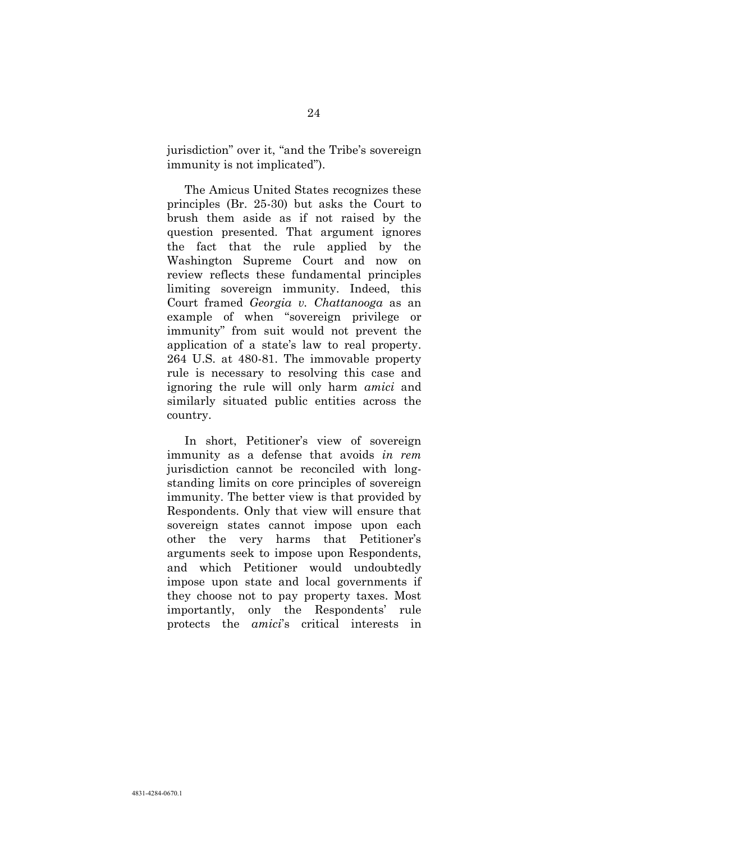jurisdiction" over it, "and the Tribe's sovereign immunity is not implicated").

The Amicus United States recognizes these principles (Br. 25-30) but asks the Court to brush them aside as if not raised by the question presented. That argument ignores the fact that the rule applied by the Washington Supreme Court and now on review reflects these fundamental principles limiting sovereign immunity. Indeed, this Court framed *Georgia v. Chattanooga* as an example of when "sovereign privilege or immunity" from suit would not prevent the application of a state's law to real property. 264 U.S. at 480-81. The immovable property rule is necessary to resolving this case and ignoring the rule will only harm *amici* and similarly situated public entities across the country.

In short, Petitioner's view of sovereign immunity as a defense that avoids *in rem* jurisdiction cannot be reconciled with longstanding limits on core principles of sovereign immunity. The better view is that provided by Respondents. Only that view will ensure that sovereign states cannot impose upon each other the very harms that Petitioner's arguments seek to impose upon Respondents, and which Petitioner would undoubtedly impose upon state and local governments if they choose not to pay property taxes. Most importantly, only the Respondents' rule protects the *amici*'s critical interests in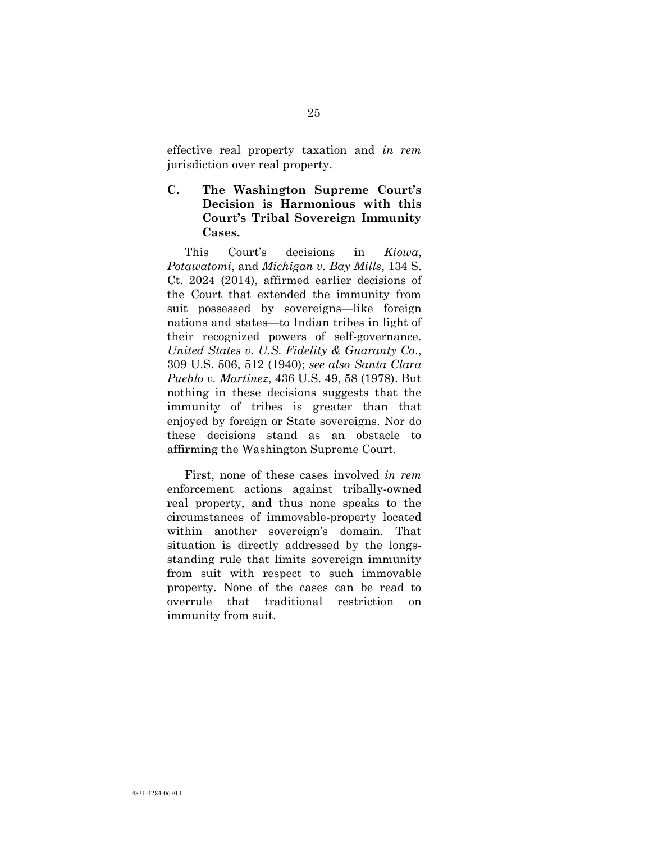effective real property taxation and *in rem* jurisdiction over real property.

**C. The Washington Supreme Court's Decision is Harmonious with this Court's Tribal Sovereign Immunity Cases.**

<span id="page-33-0"></span>This Court's decisions in *Kiowa*, *Potawatomi*, and *Michigan v. Bay Mills*, 134 S. Ct. 2024 (2014), affirmed earlier decisions of the Court that extended the immunity from suit possessed by sovereigns—like foreign nations and states—to Indian tribes in light of their recognized powers of self-governance. *United States v. U.S. Fidelity & Guaranty Co*., 309 U.S. 506, 512 (1940); *see also Santa Clara Pueblo v. Martinez*, 436 U.S. 49, 58 (1978). But nothing in these decisions suggests that the immunity of tribes is greater than that enjoyed by foreign or State sovereigns. Nor do these decisions stand as an obstacle to affirming the Washington Supreme Court.

First, none of these cases involved *in rem* enforcement actions against tribally-owned real property, and thus none speaks to the circumstances of immovable-property located within another sovereign's domain. That situation is directly addressed by the longsstanding rule that limits sovereign immunity from suit with respect to such immovable property. None of the cases can be read to overrule that traditional restriction on immunity from suit.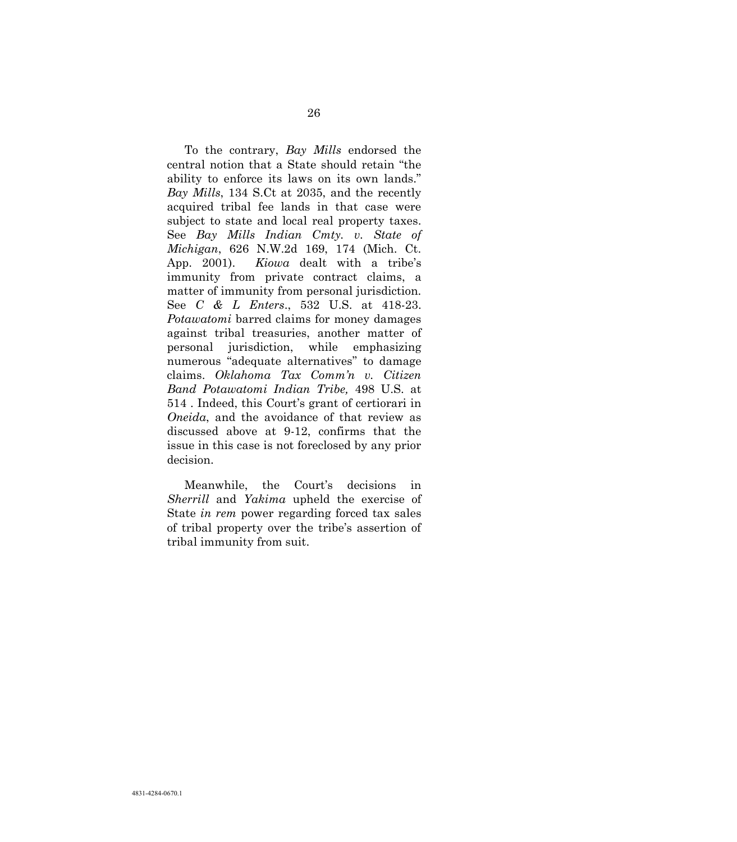To the contrary, *Bay Mills* endorsed the central notion that a State should retain "the ability to enforce its laws on its own lands." *Bay Mills*, 134 S.Ct at 2035, and the recently acquired tribal fee lands in that case were subject to state and local real property taxes. See *Bay Mills Indian Cmty. v. State of Michigan*, 626 N.W.2d 169, 174 (Mich. Ct. App. 2001). *Kiowa* dealt with a tribe's immunity from private contract claims, a matter of immunity from personal jurisdiction. See *C & L Enters*., 532 U.S. at 418-23. *Potawatomi* barred claims for money damages against tribal treasuries, another matter of personal jurisdiction, while emphasizing numerous "adequate alternatives" to damage claims. *Oklahoma Tax Comm'n v. Citizen Band Potawatomi Indian Tribe,* 498 U.S. at 514 . Indeed, this Court's grant of certiorari in *Oneida*, and the avoidance of that review as discussed above at 9-12, confirms that the issue in this case is not foreclosed by any prior decision.

Meanwhile, the Court's decisions in *Sherrill* and *Yakima* upheld the exercise of State *in rem* power regarding forced tax sales of tribal property over the tribe's assertion of tribal immunity from suit.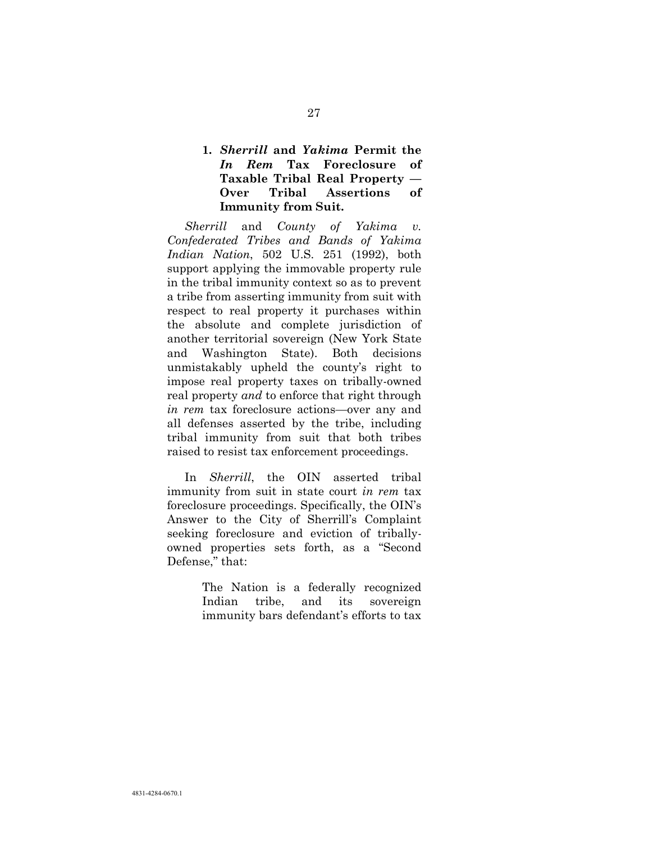### **1.** *Sherrill* **and** *Yakima* **Permit the**  *In Rem* **Tax Foreclosure of Taxable Tribal Real Property — Over Tribal Assertions of Immunity from Suit.**

*Sherrill* and *County of Yakima v. Confederated Tribes and Bands of Yakima Indian Nation*, 502 U.S. 251 (1992), both support applying the immovable property rule in the tribal immunity context so as to prevent a tribe from asserting immunity from suit with respect to real property it purchases within the absolute and complete jurisdiction of another territorial sovereign (New York State and Washington State). Both decisions unmistakably upheld the county's right to impose real property taxes on tribally-owned real property *and* to enforce that right through *in rem* tax foreclosure actions—over any and all defenses asserted by the tribe, including tribal immunity from suit that both tribes raised to resist tax enforcement proceedings.

In *Sherrill*, the OIN asserted tribal immunity from suit in state court *in rem* tax foreclosure proceedings. Specifically, the OIN's Answer to the City of Sherrill's Complaint seeking foreclosure and eviction of triballyowned properties sets forth, as a "Second Defense," that:

> The Nation is a federally recognized Indian tribe, and its sovereign immunity bars defendant's efforts to tax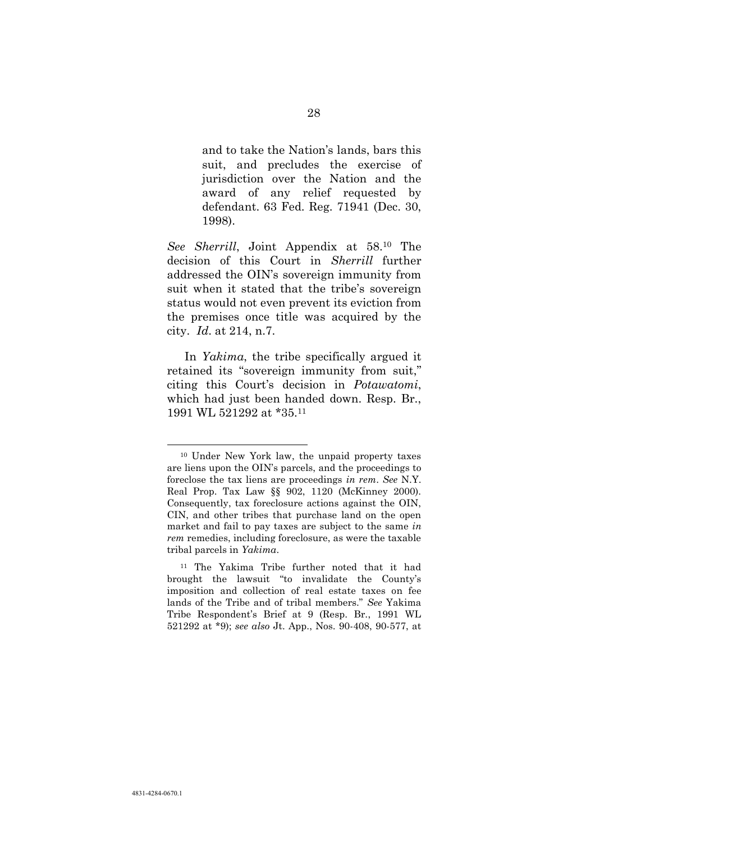and to take the Nation's lands, bars this suit, and precludes the exercise of jurisdiction over the Nation and the award of any relief requested by defendant. 63 Fed. Reg. 71941 (Dec. 30, 1998).

*See Sherrill*, Joint Appendix at 58.<sup>10</sup> The decision of this Court in *Sherrill* further addressed the OIN's sovereign immunity from suit when it stated that the tribe's sovereign status would not even prevent its eviction from the premises once title was acquired by the city. *Id*. at 214, n.7.

In *Yakima*, the tribe specifically argued it retained its "sovereign immunity from suit," citing this Court's decision in *Potawatomi*, which had just been handed down. Resp. Br., 1991 WL 521292 at \*35.<sup>11</sup>

l

<sup>10</sup> Under New York law, the unpaid property taxes are liens upon the OIN's parcels, and the proceedings to foreclose the tax liens are proceedings *in rem*. *See* N.Y. Real Prop. Tax Law §§ 902, 1120 (McKinney 2000). Consequently, tax foreclosure actions against the OIN, CIN, and other tribes that purchase land on the open market and fail to pay taxes are subject to the same *in rem* remedies, including foreclosure, as were the taxable tribal parcels in *Yakima*.

<sup>11</sup> The Yakima Tribe further noted that it had brought the lawsuit "to invalidate the County's imposition and collection of real estate taxes on fee lands of the Tribe and of tribal members." *See* Yakima Tribe Respondent's Brief at 9 (Resp. Br., 1991 WL 521292 at \*9); *see also* Jt. App., Nos. 90-408, 90-577, at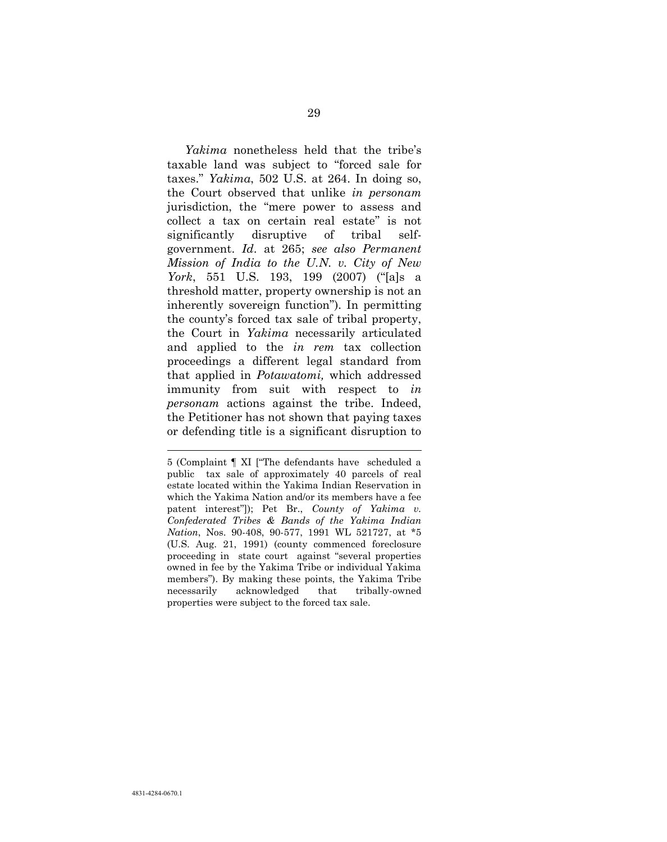*Yakima* nonetheless held that the tribe's taxable land was subject to "forced sale for taxes." *Yakima*, 502 U.S. at 264. In doing so, the Court observed that unlike *in personam* jurisdiction, the "mere power to assess and collect a tax on certain real estate" is not significantly disruptive of tribal selfgovernment. *Id*. at 265; *see also Permanent Mission of India to the U.N. v. City of New York*, 551 U.S. 193, 199 (2007) ("[a]s a threshold matter, property ownership is not an inherently sovereign function"). In permitting the county's forced tax sale of tribal property, the Court in *Yakima* necessarily articulated and applied to the *in rem* tax collection proceedings a different legal standard from that applied in *Potawatomi,* which addressed immunity from suit with respect to *in personam* actions against the tribe. Indeed, the Petitioner has not shown that paying taxes or defending title is a significant disruption to

l

<sup>5 (</sup>Complaint ¶ XI ["The defendants have scheduled a public tax sale of approximately 40 parcels of real estate located within the Yakima Indian Reservation in which the Yakima Nation and/or its members have a fee patent interest"]); Pet Br., *County of Yakima v. Confederated Tribes & Bands of the Yakima Indian Nation*, Nos. 90-408, 90-577, 1991 WL 521727, at \*5 (U.S. Aug. 21, 1991) (county commenced foreclosure proceeding in state court against "several properties owned in fee by the Yakima Tribe or individual Yakima members"). By making these points, the Yakima Tribe necessarily acknowledged that tribally-owned properties were subject to the forced tax sale.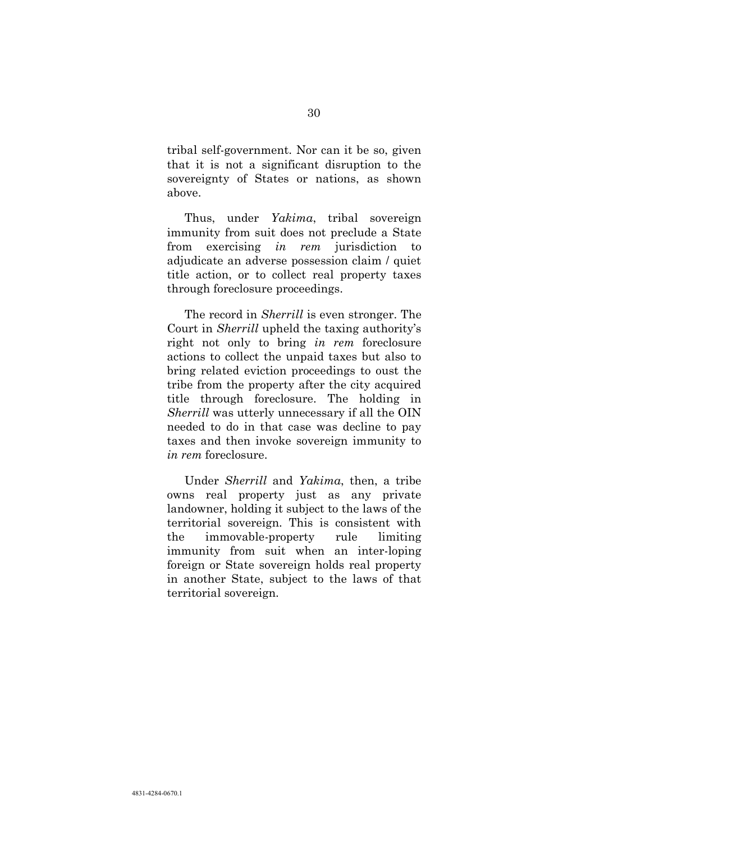tribal self-government. Nor can it be so, given that it is not a significant disruption to the sovereignty of States or nations, as shown above.

Thus, under *Yakima*, tribal sovereign immunity from suit does not preclude a State from exercising *in rem* jurisdiction to adjudicate an adverse possession claim / quiet title action, or to collect real property taxes through foreclosure proceedings.

The record in *Sherrill* is even stronger. The Court in *Sherrill* upheld the taxing authority's right not only to bring *in rem* foreclosure actions to collect the unpaid taxes but also to bring related eviction proceedings to oust the tribe from the property after the city acquired title through foreclosure. The holding in *Sherrill* was utterly unnecessary if all the OIN needed to do in that case was decline to pay taxes and then invoke sovereign immunity to *in rem* foreclosure.

Under *Sherrill* and *Yakima*, then, a tribe owns real property just as any private landowner, holding it subject to the laws of the territorial sovereign. This is consistent with the immovable-property rule limiting immunity from suit when an inter-loping foreign or State sovereign holds real property in another State, subject to the laws of that territorial sovereign.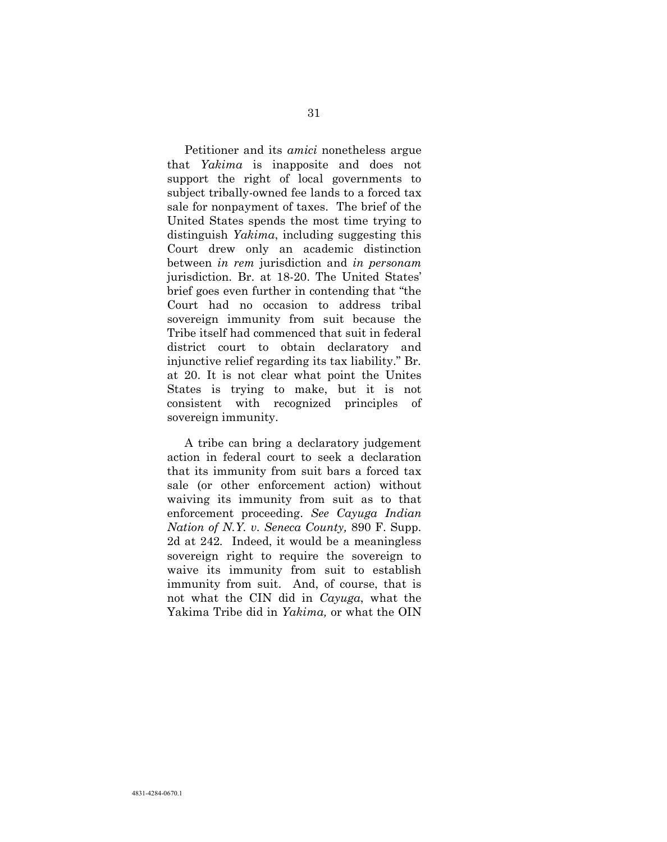Petitioner and its *amici* nonetheless argue that *Yakima* is inapposite and does not support the right of local governments to subject tribally-owned fee lands to a forced tax sale for nonpayment of taxes. The brief of the United States spends the most time trying to distinguish *Yakima*, including suggesting this Court drew only an academic distinction between *in rem* jurisdiction and *in personam* jurisdiction. Br. at 18-20. The United States' brief goes even further in contending that "the Court had no occasion to address tribal sovereign immunity from suit because the Tribe itself had commenced that suit in federal district court to obtain declaratory and injunctive relief regarding its tax liability." Br. at 20. It is not clear what point the Unites States is trying to make, but it is not consistent with recognized principles of sovereign immunity.

A tribe can bring a declaratory judgement action in federal court to seek a declaration that its immunity from suit bars a forced tax sale (or other enforcement action) without waiving its immunity from suit as to that enforcement proceeding. *See Cayuga Indian Nation of N.Y. v. Seneca County,* 890 F. Supp. 2d at 242*.* Indeed, it would be a meaningless sovereign right to require the sovereign to waive its immunity from suit to establish immunity from suit. And, of course, that is not what the CIN did in *Cayuga*, what the Yakima Tribe did in *Yakima,* or what the OIN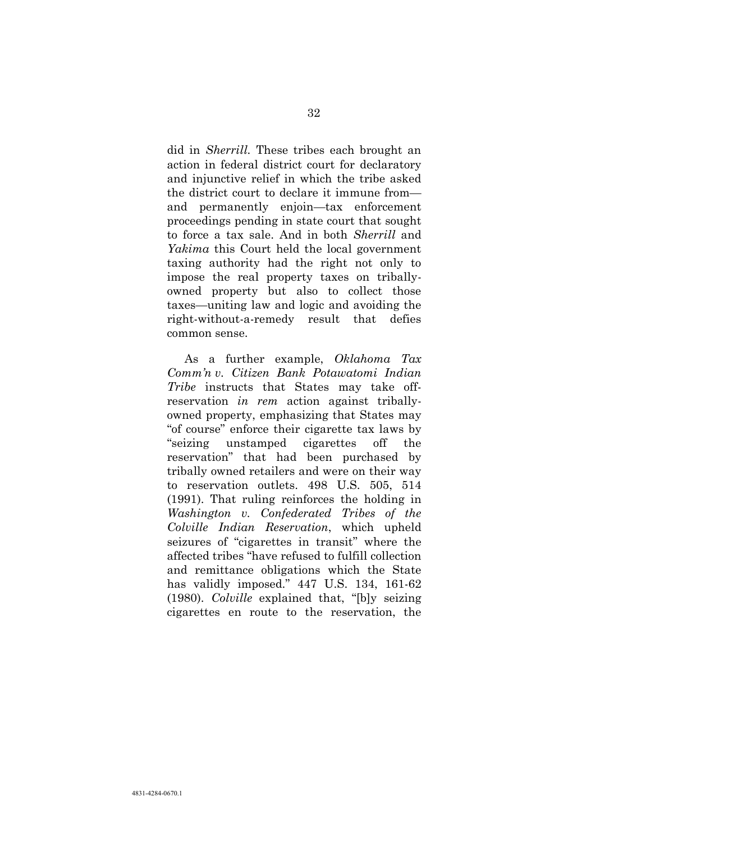did in *Sherrill.* These tribes each brought an action in federal district court for declaratory and injunctive relief in which the tribe asked the district court to declare it immune from and permanently enjoin—tax enforcement proceedings pending in state court that sought to force a tax sale. And in both *Sherrill* and *Yakima* this Court held the local government taxing authority had the right not only to impose the real property taxes on triballyowned property but also to collect those taxes—uniting law and logic and avoiding the right-without-a-remedy result that defies common sense.

As a further example, *Oklahoma Tax Comm'n v. Citizen Bank Potawatomi Indian Tribe* instructs that States may take offreservation *in rem* action against triballyowned property, emphasizing that States may "of course" enforce their cigarette tax laws by "seizing unstamped cigarettes off the reservation" that had been purchased by tribally owned retailers and were on their way to reservation outlets. 498 U.S. 505, 514 (1991). That ruling reinforces the holding in *Washington v. Confederated Tribes of the Colville Indian Reservation*, which upheld seizures of "cigarettes in transit" where the affected tribes "have refused to fulfill collection and remittance obligations which the State has validly imposed." 447 U.S. 134, 161-62 (1980). *Colville* explained that, "[b]y seizing cigarettes en route to the reservation, the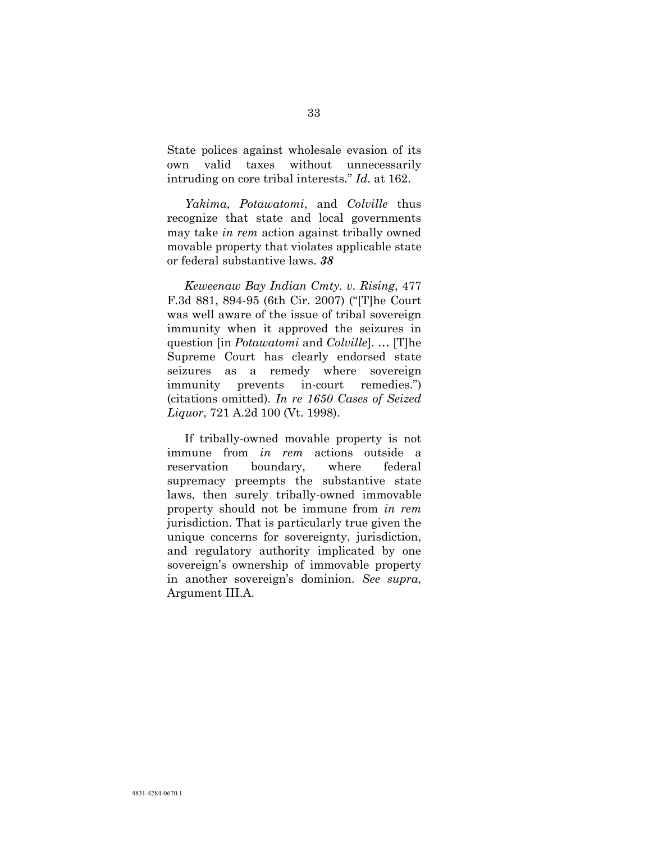State polices against wholesale evasion of its own valid taxes without unnecessarily intruding on core tribal interests." *Id*. at 162.

*Yakima*, *Potawatomi*, and *Colville* thus recognize that state and local governments may take *in rem* action against tribally owned movable property that violates applicable state or federal substantive laws. *38*

<span id="page-41-1"></span>*Keweenaw Bay Indian Cmty. v. Rising*, 477 F.3d 881, 894-95 (6th Cir. 2007) ("[T]he Court was well aware of the issue of tribal sovereign immunity when it approved the seizures in question [in *Potawatomi* and *Colville*]. … [T]he Supreme Court has clearly endorsed state seizures as a remedy where sovereign immunity prevents in-court remedies.") (citations omitted). *In re 1650 Cases of Seized Liquor*, 721 A.2d 100 (Vt. 1998).

<span id="page-41-0"></span>If tribally-owned movable property is not immune from *in rem* actions outside a reservation boundary, where federal supremacy preempts the substantive state laws, then surely tribally-owned immovable property should not be immune from *in rem* jurisdiction. That is particularly true given the unique concerns for sovereignty, jurisdiction, and regulatory authority implicated by one sovereign's ownership of immovable property in another sovereign's dominion. *See supra*, Argument III.A.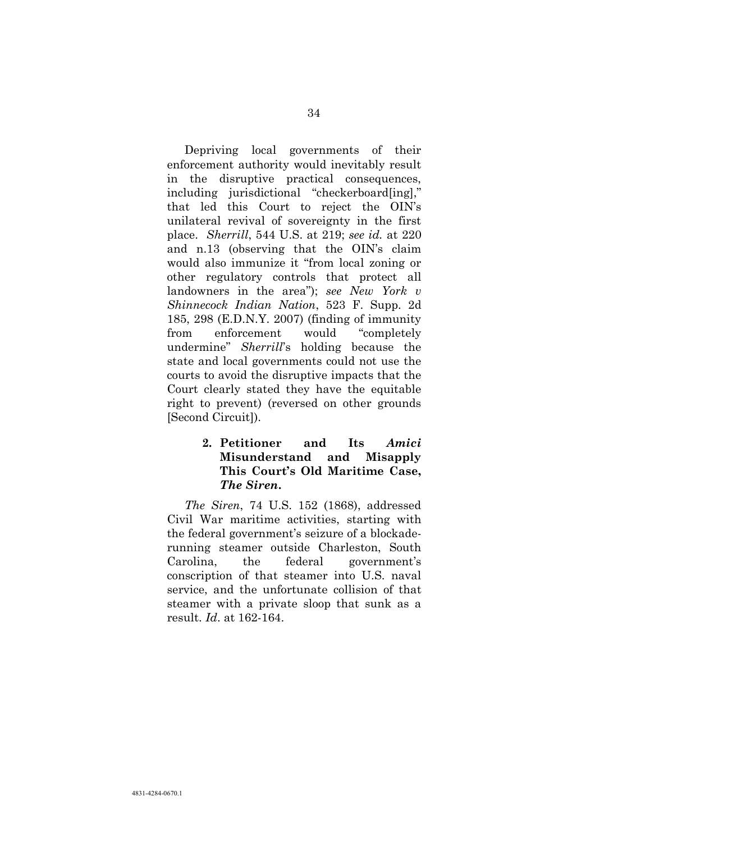Depriving local governments of their enforcement authority would inevitably result in the disruptive practical consequences, including jurisdictional "checkerboard[ing]," that led this Court to reject the OIN's unilateral revival of sovereignty in the first place. *Sherrill*, 544 U.S. at 219; *see id.* at 220 and n.13 (observing that the OIN's claim would also immunize it "from local zoning or other regulatory controls that protect all landowners in the area"); *see New York v Shinnecock Indian Nation*, 523 F. Supp. 2d 185, 298 (E.D.N.Y. 2007) (finding of immunity from enforcement would "completely undermine" *Sherrill*'s holding because the state and local governments could not use the courts to avoid the disruptive impacts that the Court clearly stated they have the equitable right to prevent) (reversed on other grounds [Second Circuit]).

#### **2. Petitioner and Its** *Amici*  **Misunderstand and Misapply This Court's Old Maritime Case,**  *The Siren***.**

*The Siren*, 74 U.S. 152 (1868), addressed Civil War maritime activities, starting with the federal government's seizure of a blockaderunning steamer outside Charleston, South Carolina, the federal government's conscription of that steamer into U.S. naval service, and the unfortunate collision of that steamer with a private sloop that sunk as a result. *Id*. at 162-164.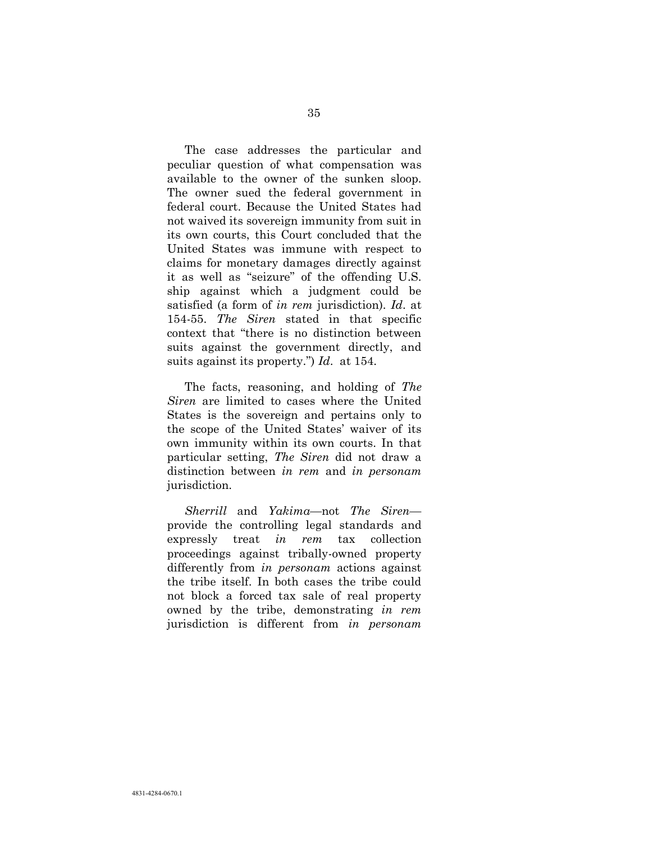The case addresses the particular and peculiar question of what compensation was available to the owner of the sunken sloop. The owner sued the federal government in federal court. Because the United States had not waived its sovereign immunity from suit in its own courts, this Court concluded that the United States was immune with respect to claims for monetary damages directly against it as well as "seizure" of the offending U.S. ship against which a judgment could be satisfied (a form of *in rem* jurisdiction). *Id*. at 154-55. *The Siren* stated in that specific context that "there is no distinction between suits against the government directly, and suits against its property.") *Id*. at 154.

The facts, reasoning, and holding of *The Siren* are limited to cases where the United States is the sovereign and pertains only to the scope of the United States' waiver of its own immunity within its own courts. In that particular setting, *The Siren* did not draw a distinction between *in rem* and *in personam* jurisdiction.

*Sherrill* and *Yakima*—not *The Siren* provide the controlling legal standards and expressly treat *in rem* tax collection proceedings against tribally-owned property differently from *in personam* actions against the tribe itself. In both cases the tribe could not block a forced tax sale of real property owned by the tribe, demonstrating *in rem* jurisdiction is different from *in personam*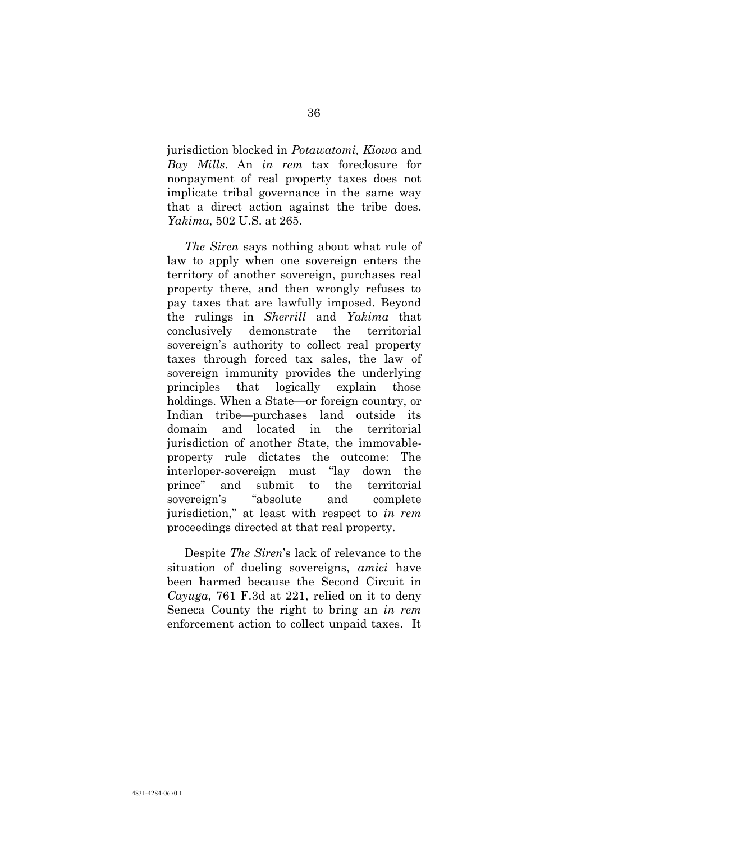jurisdiction blocked in *Potawatomi, Kiowa* and *Bay Mills*. An *in rem* tax foreclosure for nonpayment of real property taxes does not implicate tribal governance in the same way that a direct action against the tribe does. *Yakima*, 502 U.S. at 265.

*The Siren* says nothing about what rule of law to apply when one sovereign enters the territory of another sovereign, purchases real property there, and then wrongly refuses to pay taxes that are lawfully imposed. Beyond the rulings in *Sherrill* and *Yakima* that conclusively demonstrate the territorial sovereign's authority to collect real property taxes through forced tax sales, the law of sovereign immunity provides the underlying principles that logically explain those holdings. When a State—or foreign country, or Indian tribe—purchases land outside its domain and located in the territorial jurisdiction of another State, the immovableproperty rule dictates the outcome: The interloper-sovereign must "lay down the prince" and submit to the territorial sovereign's "absolute and complete jurisdiction," at least with respect to *in rem* proceedings directed at that real property.

Despite *The Siren*'s lack of relevance to the situation of dueling sovereigns, *amici* have been harmed because the Second Circuit in *Cayuga*, 761 F.3d at 221, relied on it to deny Seneca County the right to bring an *in rem* enforcement action to collect unpaid taxes. It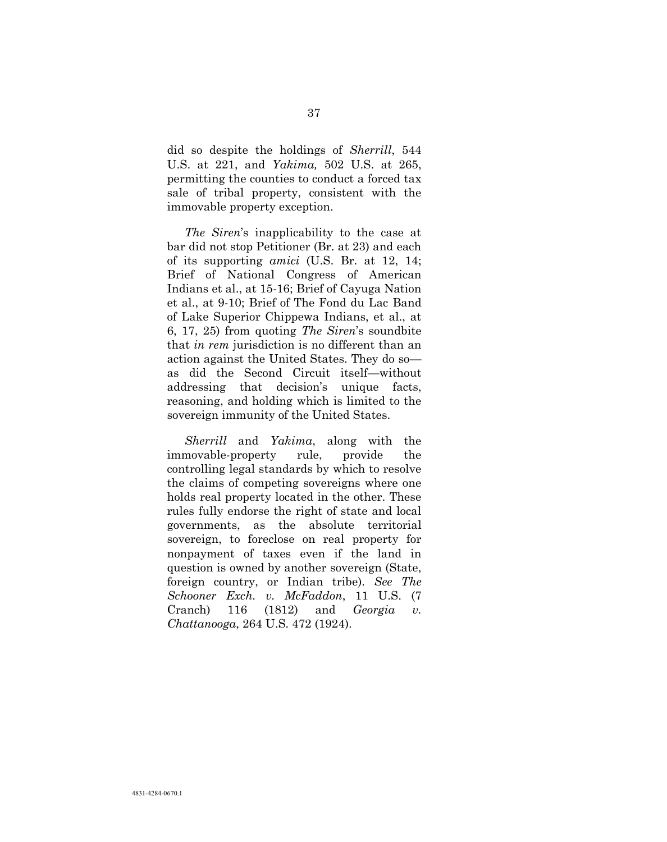did so despite the holdings of *Sherrill*, 544 U.S. at 221, and *Yakima,* 502 U.S. at 265, permitting the counties to conduct a forced tax sale of tribal property, consistent with the immovable property exception.

*The Siren*'s inapplicability to the case at bar did not stop Petitioner (Br. at 23) and each of its supporting *amici* (U.S. Br. at 12, 14; Brief of National Congress of American Indians et al., at 15-16; Brief of Cayuga Nation et al., at 9-10; Brief of The Fond du Lac Band of Lake Superior Chippewa Indians, et al., at 6, 17, 25) from quoting *The Siren*'s soundbite that *in rem* jurisdiction is no different than an action against the United States. They do so as did the Second Circuit itself—without addressing that decision's unique facts, reasoning, and holding which is limited to the sovereign immunity of the United States.

*Sherrill* and *Yakima*, along with the immovable-property rule, provide the controlling legal standards by which to resolve the claims of competing sovereigns where one holds real property located in the other. These rules fully endorse the right of state and local governments, as the absolute territorial sovereign, to foreclose on real property for nonpayment of taxes even if the land in question is owned by another sovereign (State, foreign country, or Indian tribe). *See The Schooner Exch. v. McFaddon*, 11 U.S. (7 Cranch) 116 (1812) and *Georgia v. Chattanooga*, 264 U.S. 472 (1924).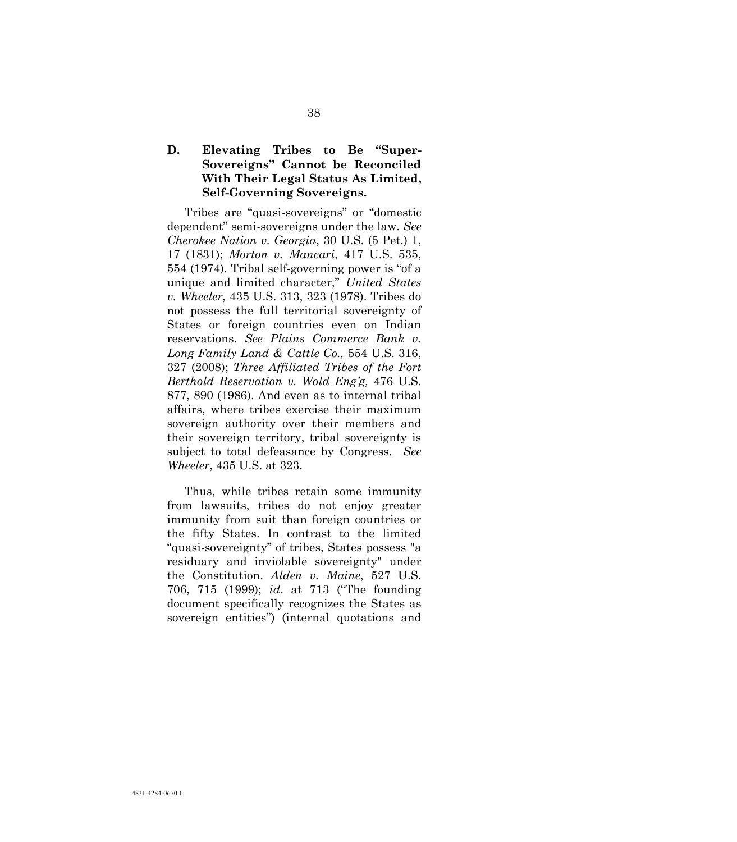### **D. Elevating Tribes to Be "Super-Sovereigns" Cannot be Reconciled With Their Legal Status As Limited, Self-Governing Sovereigns.**

<span id="page-46-4"></span><span id="page-46-2"></span><span id="page-46-1"></span><span id="page-46-0"></span>Tribes are "quasi-sovereigns" or "domestic dependent" semi-sovereigns under the law. *See Cherokee Nation v. Georgia*, 30 U.S. (5 Pet.) 1, 17 (1831); *Morton v. Mancari*, 417 U.S. 535, 554 (1974). Tribal self-governing power is "of a unique and limited character," *United States v. Wheeler*, 435 U.S. 313, 323 (1978). Tribes do not possess the full territorial sovereignty of States or foreign countries even on Indian reservations. *See Plains Commerce Bank v. Long Family Land & Cattle Co.,* 554 U.S. 316, 327 (2008); *Three Affiliated Tribes of the Fort Berthold Reservation v. Wold Eng'g,* 476 U.S. 877, 890 (1986). And even as to internal tribal affairs, where tribes exercise their maximum sovereign authority over their members and their sovereign territory, tribal sovereignty is subject to total defeasance by Congress. *See Wheeler*, 435 U.S. at 323.

<span id="page-46-3"></span>Thus, while tribes retain some immunity from lawsuits, tribes do not enjoy greater immunity from suit than foreign countries or the fifty States. In contrast to the limited "quasi-sovereignty" of tribes, States possess "a residuary and inviolable sovereignty" under the Constitution. *Alden v. Maine*, 527 U.S. 706, 715 (1999); *id*. at 713 ("The founding document specifically recognizes the States as sovereign entities") (internal quotations and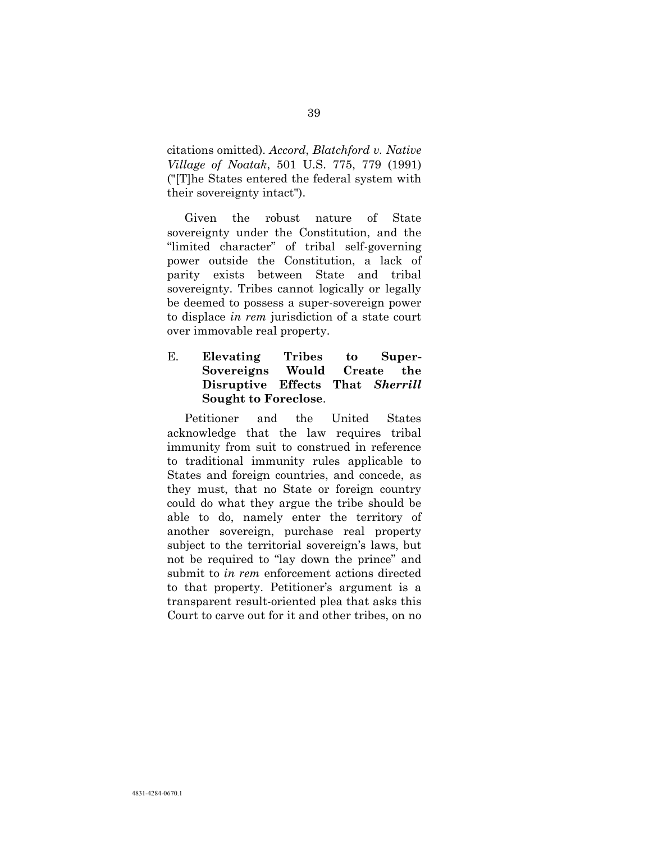citations omitted). *Accord*, *Blatchford v. Native Village of Noatak*, 501 U.S. 775, 779 (1991) ("[T]he States entered the federal system with their sovereignty intact").

Given the robust nature of State sovereignty under the Constitution, and the "limited character" of tribal self-governing power outside the Constitution, a lack of parity exists between State and tribal sovereignty. Tribes cannot logically or legally be deemed to possess a super-sovereign power to displace *in rem* jurisdiction of a state court over immovable real property.

### E. **Elevating Tribes to Super-Sovereigns Would Create the Disruptive Effects That** *Sherrill*  **Sought to Foreclose**.

Petitioner and the United States acknowledge that the law requires tribal immunity from suit to construed in reference to traditional immunity rules applicable to States and foreign countries, and concede, as they must, that no State or foreign country could do what they argue the tribe should be able to do, namely enter the territory of another sovereign, purchase real property subject to the territorial sovereign's laws, but not be required to "lay down the prince" and submit to *in rem* enforcement actions directed to that property. Petitioner's argument is a transparent result-oriented plea that asks this Court to carve out for it and other tribes, on no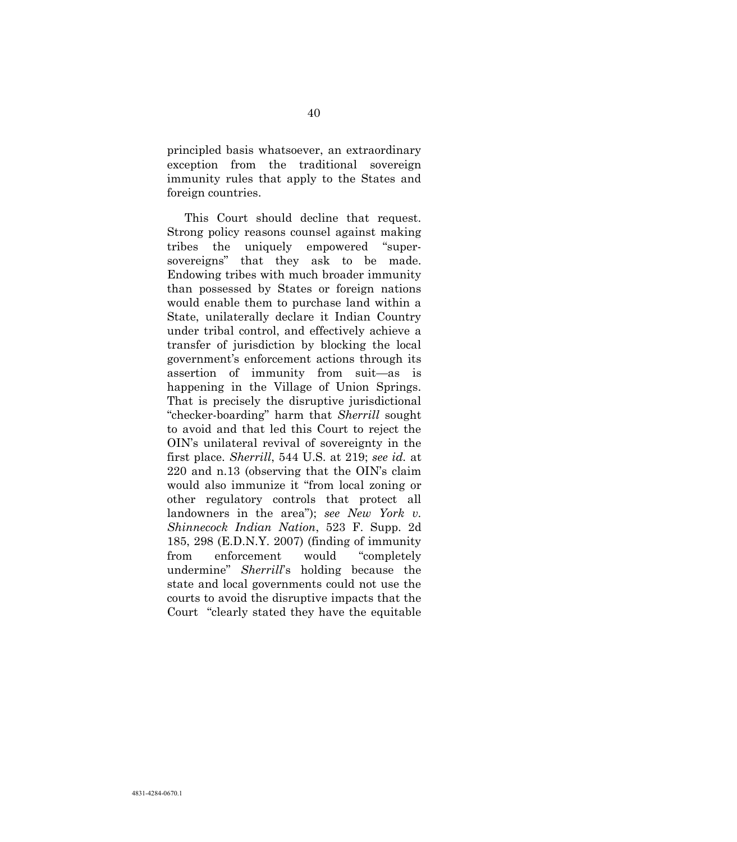principled basis whatsoever, an extraordinary exception from the traditional sovereign immunity rules that apply to the States and foreign countries.

This Court should decline that request. Strong policy reasons counsel against making tribes the uniquely empowered "supersovereigns" that they ask to be made. Endowing tribes with much broader immunity than possessed by States or foreign nations would enable them to purchase land within a State, unilaterally declare it Indian Country under tribal control, and effectively achieve a transfer of jurisdiction by blocking the local government's enforcement actions through its assertion of immunity from suit—as is happening in the Village of Union Springs. That is precisely the disruptive jurisdictional "checker-boarding" harm that *Sherrill* sought to avoid and that led this Court to reject the OIN's unilateral revival of sovereignty in the first place. *Sherrill*, 544 U.S. at 219; *see id.* at 220 and n.13 (observing that the OIN's claim would also immunize it "from local zoning or other regulatory controls that protect all landowners in the area"); *see New York v. Shinnecock Indian Nation*, 523 F. Supp. 2d 185, 298 (E.D.N.Y. 2007) (finding of immunity from enforcement would "completely undermine" *Sherrill*'s holding because the state and local governments could not use the courts to avoid the disruptive impacts that the Court "clearly stated they have the equitable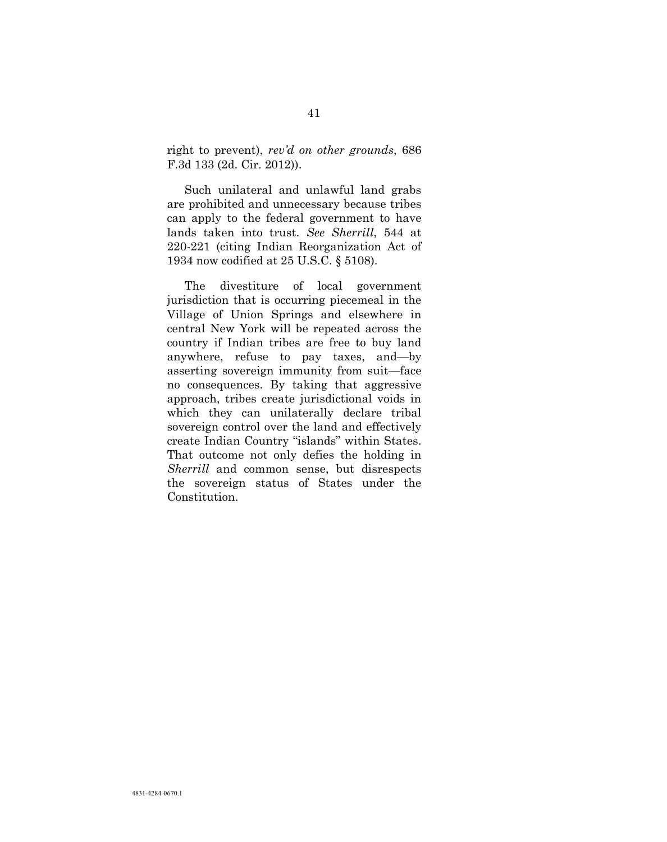right to prevent), *rev'd on other grounds*, 686 F.3d 133 (2d. Cir. 2012)).

Such unilateral and unlawful land grabs are prohibited and unnecessary because tribes can apply to the federal government to have lands taken into trust. *See Sherrill*, 544 at 220-221 (citing Indian Reorganization Act of 1934 now codified at 25 U.S.C. § 5108).

The divestiture of local government jurisdiction that is occurring piecemeal in the Village of Union Springs and elsewhere in central New York will be repeated across the country if Indian tribes are free to buy land anywhere, refuse to pay taxes, and—by asserting sovereign immunity from suit—face no consequences. By taking that aggressive approach, tribes create jurisdictional voids in which they can unilaterally declare tribal sovereign control over the land and effectively create Indian Country "islands" within States. That outcome not only defies the holding in *Sherrill* and common sense, but disrespects the sovereign status of States under the Constitution.